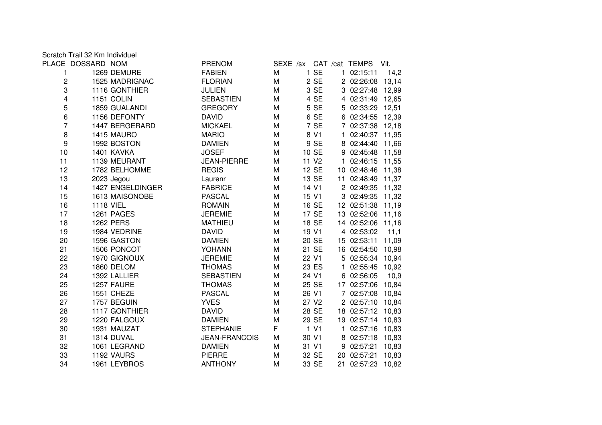Scratch Trail 32 Km Individuel

|                         | PLACE DOSSARD NOM |                  | <b>PRENOM</b>        |   |                   |              | SEXE /sx CAT /cat TEMPS | Vit.  |
|-------------------------|-------------------|------------------|----------------------|---|-------------------|--------------|-------------------------|-------|
| 1                       |                   | 1269 DEMURE      | <b>FABIEN</b>        | M | 1 SE              |              | 1 02:15:11              | 14,2  |
| $\boldsymbol{2}$        |                   | 1525 MADRIGNAC   | <b>FLORIAN</b>       | M | 2 SE              |              | 2 02:26:08              | 13,14 |
| 3                       |                   | 1116 GONTHIER    | <b>JULIEN</b>        | M | 3 SE              |              | 3 02:27:48 12,99        |       |
| $\overline{\mathbf{4}}$ |                   | 1151 COLIN       | <b>SEBASTIEN</b>     | M | 4 SE              |              | 4 02:31:49 12,65        |       |
| 5                       |                   | 1859 GUALANDI    | <b>GREGORY</b>       | M | 5 SE              |              | 5 02:33:29 12,51        |       |
| 6                       |                   | 1156 DEFONTY     | <b>DAVID</b>         | М | 6 SE              |              | 6 02:34:55 12,39        |       |
| 7                       |                   | 1447 BERGERARD   | <b>MICKAEL</b>       | М | 7 SE              |              | 7 02:37:38 12,18        |       |
| 8                       |                   | 1415 MAURO       | <b>MARIO</b>         | M | 8 V1              |              | 1 02:40:37 11,95        |       |
| 9                       |                   | 1992 BOSTON      | <b>DAMIEN</b>        | M | 9 SE              |              | 8 02:44:40 11,66        |       |
| 10                      |                   | 1401 KAVKA       | <b>JOSEF</b>         | M | 10 SE             |              | 9 02:45:48 11,58        |       |
| 11                      |                   | 1139 MEURANT     | <b>JEAN-PIERRE</b>   | M | 11 V <sub>2</sub> |              | 1 02:46:15 11,55        |       |
| 12                      |                   | 1782 BELHOMME    | <b>REGIS</b>         | M | 12 SE             |              | 10 02:48:46 11,38       |       |
| 13                      |                   | 2023 Jegou       | Laurenr              | M | 13 SE             |              | 11 02:48:49 11,37       |       |
| 14                      |                   | 1427 ENGELDINGER | <b>FABRICE</b>       | M | 14 V1             |              | 2 02:49:35 11,32        |       |
| 15                      |                   | 1613 MAISONOBE   | <b>PASCAL</b>        | M | 15 V1             |              | 3 02:49:35 11,32        |       |
| 16                      |                   | <b>1118 VIEL</b> | <b>ROMAIN</b>        | M | 16 SE             |              | 12 02:51:38 11,19       |       |
| 17                      |                   | 1261 PAGES       | <b>JEREMIE</b>       | M | 17 SE             |              | 13 02:52:06 11,16       |       |
| 18                      |                   | <b>1262 PERS</b> | <b>MATHIEU</b>       | M | 18 SE             |              | 14 02:52:06 11,16       |       |
| 19                      |                   | 1984 VEDRINE     | <b>DAVID</b>         | M | 19 V1             |              | 4 02:53:02              | 11,1  |
| 20                      |                   | 1596 GASTON      | <b>DAMIEN</b>        | M | 20 SE             |              | 15 02:53:11             | 11,09 |
| 21                      |                   | 1506 PONCOT      | <b>YOHANN</b>        | M | 21 SE             |              | 16 02:54:50 10,98       |       |
| 22                      |                   | 1970 GIGNOUX     | <b>JEREMIE</b>       | M | 22 V1             |              | 5 02:55:34 10,94        |       |
| 23                      |                   | 1860 DELOM       | <b>THOMAS</b>        | M | 23 ES             | $\mathbf{1}$ | 02:55:45                | 10,92 |
| 24                      |                   | 1392 LALLIER     | <b>SEBASTIEN</b>     | M | 24 V1             |              | 6 02:56:05              | 10,9  |
| 25                      |                   | 1257 FAURE       | <b>THOMAS</b>        | M | 25 SE             |              | 17 02:57:06             | 10,84 |
| 26                      |                   | 1551 CHEZE       | <b>PASCAL</b>        | M | 26 V1             |              | 7 02:57:08 10,84        |       |
| 27                      |                   | 1757 BEGUIN      | <b>YVES</b>          | М | 27 V <sub>2</sub> |              | 2 02:57:10              | 10,84 |
| 28                      |                   | 1117 GONTHIER    | <b>DAVID</b>         | M | 28 SE             |              | 18 02:57:12 10,83       |       |
| 29                      |                   | 1220 FALGOUX     | <b>DAMIEN</b>        | M | 29 SE             |              | 19 02:57:14 10,83       |       |
| 30                      |                   | 1931 MAUZAT      | <b>STEPHANIE</b>     | F | 1 V1              |              | 1 02:57:16              | 10,83 |
| 31                      |                   | 1314 DUVAL       | <b>JEAN-FRANCOIS</b> | M | 30 V1             |              | 8 02:57:18 10,83        |       |
| 32                      |                   | 1061 LEGRAND     | <b>DAMIEN</b>        | М | 31 V1             |              | 9 02:57:21              | 10,83 |
| 33                      |                   | 1192 VAURS       | <b>PIERRE</b>        | M | 32 SE             |              | 20 02:57:21             | 10,83 |
| 34                      |                   | 1961 LEYBROS     | <b>ANTHONY</b>       | M | 33 SE             |              | 21 02:57:23             | 10,82 |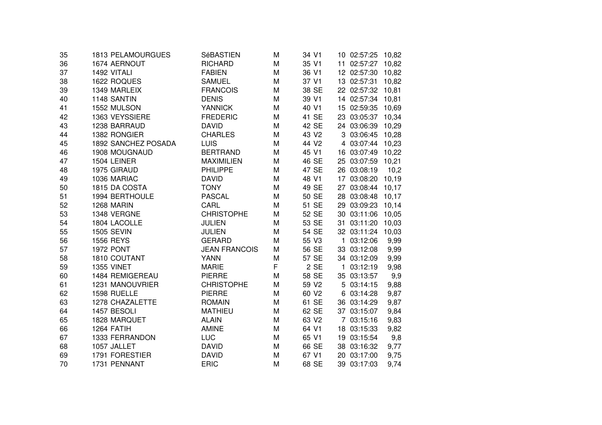| 35 | 1813 PELAMOURGUES   | SéBASTIEN            | M | 34 V1             |    | 10 02:57:25       | 10,82 |
|----|---------------------|----------------------|---|-------------------|----|-------------------|-------|
| 36 | 1674 AERNOUT        | <b>RICHARD</b>       | M | 35 V1             |    | 11 02:57:27       | 10,82 |
| 37 | 1492 VITALI         | <b>FABIEN</b>        | M | 36 V1             |    | 12 02:57:30       | 10,82 |
| 38 | 1622 ROQUES         | <b>SAMUEL</b>        | M | 37 V1             |    | 13 02:57:31       | 10,82 |
| 39 | 1349 MARLEIX        | <b>FRANCOIS</b>      | M | 38 SE             |    | 22 02:57:32       | 10,81 |
| 40 | 1148 SANTIN         | <b>DENIS</b>         | M | 39 V1             |    | 14 02:57:34       | 10,81 |
| 41 | 1552 MULSON         | <b>YANNICK</b>       | M | 40 V1             |    | 15 02:59:35       | 10,69 |
| 42 | 1363 VEYSSIERE      | <b>FREDERIC</b>      | M | 41 SE             |    | 23 03:05:37       | 10,34 |
| 43 | 1238 BARRAUD        | <b>DAVID</b>         | M | 42 SE             |    | 24 03:06:39       | 10,29 |
| 44 | 1382 RONGIER        | <b>CHARLES</b>       | M | 43 V <sub>2</sub> |    | 3 03:06:45        | 10,28 |
| 45 | 1892 SANCHEZ POSADA | <b>LUIS</b>          | M | 44 V <sub>2</sub> |    | 4 03:07:44 10,23  |       |
| 46 | 1908 MOUGNAUD       | <b>BERTRAND</b>      | M | 45 V1             |    | 16 03:07:49 10,22 |       |
| 47 | 1504 LEINER         | <b>MAXIMILIEN</b>    | M | 46 SE             |    | 25 03:07:59 10,21 |       |
| 48 | 1975 GIRAUD         | <b>PHILIPPE</b>      | M | 47 SE             |    | 26 03:08:19       | 10,2  |
| 49 | 1036 MARIAC         | <b>DAVID</b>         | M | 48 V1             |    | 17 03:08:20       | 10,19 |
| 50 | 1815 DA COSTA       | <b>TONY</b>          | M | 49 SE             |    | 27 03:08:44       | 10,17 |
| 51 | 1994 BERTHOULE      | <b>PASCAL</b>        | M | 50 SE             |    | 28 03:08:48       | 10,17 |
| 52 | 1268 MARIN          | CARL                 | M | 51 SE             |    | 29 03:09:23       | 10,14 |
| 53 | 1348 VERGNE         | <b>CHRISTOPHE</b>    | M | 52 SE             |    | 30 03:11:06       | 10,05 |
| 54 | 1804 LACOLLE        | <b>JULIEN</b>        | M | 53 SE             | 31 | 03:11:20          | 10,03 |
| 55 | <b>1505 SEVIN</b>   | <b>JULIEN</b>        | M | 54 SE             |    | 32 03:11:24       | 10,03 |
| 56 | 1556 REYS           | <b>GERARD</b>        | M | 55 V3             | 1  | 03:12:06          | 9,99  |
| 57 | <b>1972 PONT</b>    | <b>JEAN FRANCOIS</b> | Μ | 56 SE             |    | 33 03:12:08       | 9,99  |
| 58 | 1810 COUTANT        | <b>YANN</b>          | M | 57 SE             |    | 34 03:12:09       | 9,99  |
| 59 | <b>1355 VINET</b>   | <b>MARIE</b>         | F | 2 SE              |    | 1 03:12:19        | 9,98  |
| 60 | 1484 REMIGEREAU     | <b>PIERRE</b>        | M | 58 SE             |    | 35 03:13:57       | 9,9   |
| 61 | 1231 MANOUVRIER     | <b>CHRISTOPHE</b>    | M | 59 V2             |    | 5 03:14:15        | 9,88  |
| 62 | 1598 RUELLE         | <b>PIERRE</b>        | M | 60 V <sub>2</sub> |    | 6 03:14:28        | 9,87  |
| 63 | 1278 CHAZALETTE     | <b>ROMAIN</b>        | M | 61 SE             |    | 36 03:14:29       | 9,87  |
| 64 | 1457 BESOLI         | <b>MATHIEU</b>       | M | 62 SE             |    | 37 03:15:07       | 9,84  |
| 65 | 1828 MARQUET        | <b>ALAIN</b>         | M | 63 V2             |    | 7 03:15:16        | 9,83  |
| 66 | 1264 FATIH          | <b>AMINE</b>         | M | 64 V1             |    | 18 03:15:33       | 9,82  |
| 67 | 1333 FERRANDON      | <b>LUC</b>           | M | 65 V1             |    | 19 03:15:54       | 9,8   |
| 68 | 1057 JALLET         | <b>DAVID</b>         | M | 66 SE             |    | 38 03:16:32       | 9,77  |
| 69 | 1791 FORESTIER      | <b>DAVID</b>         | M | 67 V1             |    | 20 03:17:00       | 9,75  |
| 70 | 1731 PENNANT        | <b>ERIC</b>          | M | 68 SE             |    | 39 03:17:03       | 9,74  |
|    |                     |                      |   |                   |    |                   |       |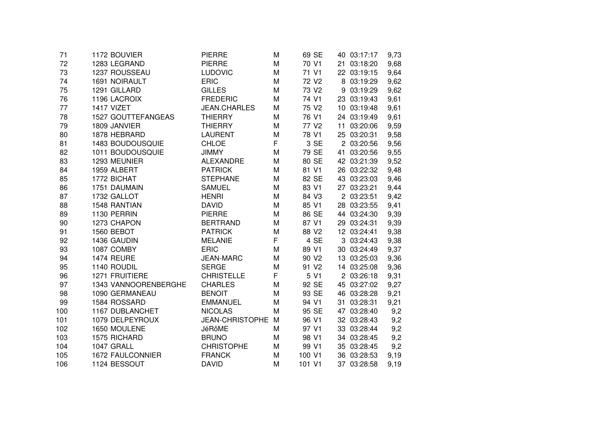| 1172 BOUVIER         | <b>PIERRE</b>                                      | M                                                           | 69 SE             |                                                    | 9,73                                                                                                                                                                                                                                                                                                                                                                                                                                                                                                                                               |
|----------------------|----------------------------------------------------|-------------------------------------------------------------|-------------------|----------------------------------------------------|----------------------------------------------------------------------------------------------------------------------------------------------------------------------------------------------------------------------------------------------------------------------------------------------------------------------------------------------------------------------------------------------------------------------------------------------------------------------------------------------------------------------------------------------------|
| 1283 LEGRAND         | <b>PIERRE</b>                                      | M                                                           | 70 V1             |                                                    | 9,68                                                                                                                                                                                                                                                                                                                                                                                                                                                                                                                                               |
| 1237 ROUSSEAU        | <b>LUDOVIC</b>                                     | M                                                           | 71 V1             |                                                    | 9,64                                                                                                                                                                                                                                                                                                                                                                                                                                                                                                                                               |
| 1691 NOIRAULT        | <b>ERIC</b>                                        | M                                                           | 72 V <sub>2</sub> |                                                    | 9,62                                                                                                                                                                                                                                                                                                                                                                                                                                                                                                                                               |
| 1291 GILLARD         | <b>GILLES</b>                                      | M                                                           | 73 V2             |                                                    | 9,62                                                                                                                                                                                                                                                                                                                                                                                                                                                                                                                                               |
| 1196 LACROIX         | <b>FREDERIC</b>                                    | M                                                           | 74 V1             |                                                    | 9,61                                                                                                                                                                                                                                                                                                                                                                                                                                                                                                                                               |
| 1417 VIZET           | <b>JEAN.CHARLES</b>                                | M                                                           | 75 V2             |                                                    | 9,61                                                                                                                                                                                                                                                                                                                                                                                                                                                                                                                                               |
| 1527 GOUTTEFANGEAS   | <b>THIERRY</b>                                     | M                                                           | 76 V1             |                                                    | 9,61                                                                                                                                                                                                                                                                                                                                                                                                                                                                                                                                               |
| 1809 JANVIER         | <b>THIERRY</b>                                     | M                                                           | 77 V <sub>2</sub> |                                                    | 9,59                                                                                                                                                                                                                                                                                                                                                                                                                                                                                                                                               |
| 1878 HEBRARD         | <b>LAURENT</b>                                     | M                                                           | 78 V1             |                                                    | 9,58                                                                                                                                                                                                                                                                                                                                                                                                                                                                                                                                               |
| 1483 BOUDOUSQUIE     | <b>CHLOE</b>                                       |                                                             | 3 SE              |                                                    | 9,56                                                                                                                                                                                                                                                                                                                                                                                                                                                                                                                                               |
| 1011 BOUDOUSQUIE     | <b>JIMMY</b>                                       | M                                                           | 79 SE             |                                                    | 9,55                                                                                                                                                                                                                                                                                                                                                                                                                                                                                                                                               |
| 1293 MEUNIER         | <b>ALEXANDRE</b>                                   | M                                                           | 80 SE             |                                                    | 9,52                                                                                                                                                                                                                                                                                                                                                                                                                                                                                                                                               |
| 1959 ALBERT          | <b>PATRICK</b>                                     | M                                                           | 81 V1             |                                                    | 9,48                                                                                                                                                                                                                                                                                                                                                                                                                                                                                                                                               |
| 1772 BICHAT          | <b>STEPHANE</b>                                    | M                                                           | 82 SE             |                                                    | 9,46                                                                                                                                                                                                                                                                                                                                                                                                                                                                                                                                               |
| 1751 DAUMAIN         | <b>SAMUEL</b>                                      | M                                                           | 83 V1             |                                                    | 9,44                                                                                                                                                                                                                                                                                                                                                                                                                                                                                                                                               |
| 1732 GALLOT          | <b>HENRI</b>                                       | M                                                           | 84 V3             |                                                    | 9,42                                                                                                                                                                                                                                                                                                                                                                                                                                                                                                                                               |
| 1548 RANTIAN         | <b>DAVID</b>                                       | M                                                           | 85 V1             |                                                    | 9,41                                                                                                                                                                                                                                                                                                                                                                                                                                                                                                                                               |
| 1130 PERRIN          | <b>PIERRE</b>                                      | M                                                           |                   |                                                    | 9,39                                                                                                                                                                                                                                                                                                                                                                                                                                                                                                                                               |
| 1273 CHAPON          | <b>BERTRAND</b>                                    | M                                                           | 87 V1             |                                                    | 9,39                                                                                                                                                                                                                                                                                                                                                                                                                                                                                                                                               |
| 1560 BEBOT           | <b>PATRICK</b>                                     | M                                                           | 88 V2             |                                                    | 9,38                                                                                                                                                                                                                                                                                                                                                                                                                                                                                                                                               |
| 1436 GAUDIN          | <b>MELANIE</b>                                     | F                                                           | 4 SE              |                                                    | 9,38                                                                                                                                                                                                                                                                                                                                                                                                                                                                                                                                               |
| 1087 COMBY           | <b>ERIC</b>                                        | M                                                           | 89 V1             |                                                    | 9,37                                                                                                                                                                                                                                                                                                                                                                                                                                                                                                                                               |
| 1474 REURE           | <b>JEAN-MARC</b>                                   | M                                                           | 90 V <sub>2</sub> |                                                    | 9,36                                                                                                                                                                                                                                                                                                                                                                                                                                                                                                                                               |
| 1140 ROUDIL          | <b>SERGE</b>                                       | M                                                           | 91 V2             |                                                    | 9,36                                                                                                                                                                                                                                                                                                                                                                                                                                                                                                                                               |
| 1271 FRUITIERE       | <b>CHRISTELLE</b>                                  |                                                             | 5 V1              |                                                    | 9,31                                                                                                                                                                                                                                                                                                                                                                                                                                                                                                                                               |
| 1343 VANNOORENBERGHE | <b>CHARLES</b>                                     | M                                                           | 92 SE             |                                                    | 9,27                                                                                                                                                                                                                                                                                                                                                                                                                                                                                                                                               |
| 1090 GERMANEAU       | <b>BENOIT</b>                                      | M                                                           |                   |                                                    | 9,21                                                                                                                                                                                                                                                                                                                                                                                                                                                                                                                                               |
|                      |                                                    | M                                                           |                   |                                                    | 9,21                                                                                                                                                                                                                                                                                                                                                                                                                                                                                                                                               |
|                      |                                                    | M                                                           |                   |                                                    | 9,2                                                                                                                                                                                                                                                                                                                                                                                                                                                                                                                                                |
|                      |                                                    | M                                                           |                   |                                                    | 9,2                                                                                                                                                                                                                                                                                                                                                                                                                                                                                                                                                |
| 1650 MOULENE         | <b>JéRôME</b>                                      | M                                                           |                   |                                                    | 9,2                                                                                                                                                                                                                                                                                                                                                                                                                                                                                                                                                |
| 1575 RICHARD         | <b>BRUNO</b>                                       | M                                                           | 98 V1             |                                                    | 9,2                                                                                                                                                                                                                                                                                                                                                                                                                                                                                                                                                |
| 1047 GRALL           | <b>CHRISTOPHE</b>                                  | M                                                           | 99 V1             |                                                    | 9,2                                                                                                                                                                                                                                                                                                                                                                                                                                                                                                                                                |
| 1672 FAULCONNIER     | <b>FRANCK</b>                                      | M                                                           | 100 V1            |                                                    | 9,19                                                                                                                                                                                                                                                                                                                                                                                                                                                                                                                                               |
| 1124 BESSOUT         | <b>DAVID</b>                                       | M                                                           | 101 V1            |                                                    | 9,19                                                                                                                                                                                                                                                                                                                                                                                                                                                                                                                                               |
|                      | 1584 ROSSARD<br>1167 DUBLANCHET<br>1079 DELPEYROUX | <b>EMMANUEL</b><br><b>NICOLAS</b><br><b>JEAN-CHRISTOPHE</b> | F<br>F            | 86 SE<br>93 SE<br>94 V1<br>95 SE<br>96 V1<br>97 V1 | 40 03:17:17<br>21 03:18:20<br>22 03:19:15<br>8 03:19:29<br>9 03:19:29<br>23 03:19:43<br>10 03:19:48<br>24 03:19:49<br>11 03:20:06<br>25 03:20:31<br>2 03:20:56<br>41 03:20:56<br>42 03:21:39<br>26 03:22:32<br>43 03:23:03<br>27 03:23:21<br>2 03:23:51<br>28 03:23:55<br>44 03:24:30<br>29 03:24:31<br>12 03:24:41<br>3 03:24:43<br>30 03:24:49<br>13 03:25:03<br>14 03:25:08<br>2 03:26:18<br>45 03:27:02<br>46 03:28:28<br>31 03:28:31<br>47 03:28:40<br>32 03:28:43<br>33 03:28:44<br>34 03:28:45<br>35 03:28:45<br>36 03:28:53<br>37 03:28:58 |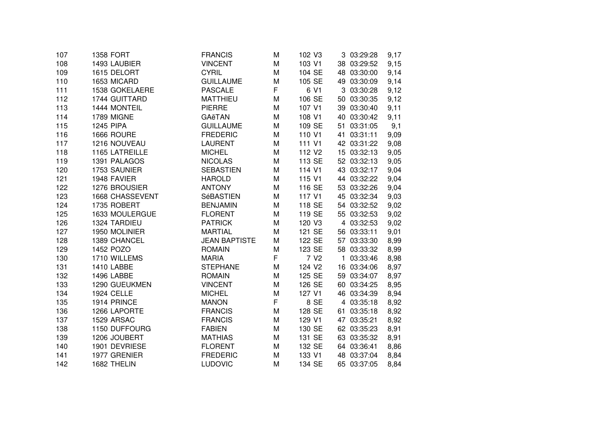| 107 | 1358 FORT         | <b>FRANCIS</b>       | M | 102 V3             | 3 03:29:28  | 9,17 |
|-----|-------------------|----------------------|---|--------------------|-------------|------|
| 108 | 1493 LAUBIER      | <b>VINCENT</b>       | M | 103 V1             | 38 03:29:52 | 9,15 |
| 109 | 1615 DELORT       | <b>CYRIL</b>         | M | 104 SE             | 48 03:30:00 | 9,14 |
| 110 | 1653 MICARD       | <b>GUILLAUME</b>     | M | 105 SE             | 49 03:30:09 | 9,14 |
| 111 | 1538 GOKELAERE    | <b>PASCALE</b>       | F | 6 V1               | 3 03:30:28  | 9,12 |
| 112 | 1744 GUITTARD     | <b>MATTHIEU</b>      | M | 106 SE             | 50 03:30:35 | 9,12 |
| 113 | 1444 MONTEIL      | <b>PIERRE</b>        | M | 107 V1             | 39 03:30:40 | 9,11 |
| 114 | 1789 MIGNE        | GAëTAN               | M | 108 V1             | 40 03:30:42 | 9,11 |
| 115 | <b>1245 PIPA</b>  | <b>GUILLAUME</b>     | M | 109 SE             | 51 03:31:05 | 9,1  |
| 116 | 1666 ROURE        | <b>FREDERIC</b>      | M | 110 V1             | 41 03:31:11 | 9,09 |
| 117 | 1216 NOUVEAU      | <b>LAURENT</b>       | M | 111 V1             | 42 03:31:22 | 9,08 |
| 118 | 1165 LATREILLE    | <b>MICHEL</b>        | M | 112 V <sub>2</sub> | 15 03:32:13 | 9,05 |
| 119 | 1391 PALAGOS      | <b>NICOLAS</b>       | M | 113 SE             | 52 03:32:13 | 9,05 |
| 120 | 1753 SAUNIER      | <b>SEBASTIEN</b>     | M | 114 V1             | 43 03:32:17 | 9,04 |
| 121 | 1948 FAVIER       | <b>HAROLD</b>        | M | 115 V1             | 44 03:32:22 | 9,04 |
| 122 | 1276 BROUSIER     | <b>ANTONY</b>        | M | 116 SE             | 53 03:32:26 | 9,04 |
| 123 | 1668 CHASSEVENT   | SéBASTIEN            | M | 117 V1             | 45 03:32:34 | 9,03 |
| 124 | 1735 ROBERT       | <b>BENJAMIN</b>      | M | 118 SE             | 54 03:32:52 | 9,02 |
| 125 | 1633 MOULERGUE    | <b>FLORENT</b>       | M | 119 SE             | 55 03:32:53 | 9,02 |
| 126 | 1324 TARDIEU      | <b>PATRICK</b>       | M | 120 V3             | 4 03:32:53  | 9,02 |
| 127 | 1950 MOLINIER     | <b>MARTIAL</b>       | M | 121 SE             | 56 03:33:11 | 9,01 |
| 128 | 1389 CHANCEL      | <b>JEAN BAPTISTE</b> | M | 122 SE             | 57 03:33:30 | 8,99 |
| 129 | 1452 POZO         | <b>ROMAIN</b>        | M | 123 SE             | 58 03:33:32 | 8,99 |
| 130 | 1710 WILLEMS      | <b>MARIA</b>         | F | 7 V <sub>2</sub>   | 1 03:33:46  | 8,98 |
| 131 | <b>1410 LABBE</b> | <b>STEPHANE</b>      | M | 124 V <sub>2</sub> | 16 03:34:06 | 8,97 |
| 132 | 1496 LABBE        | <b>ROMAIN</b>        | M | 125 SE             | 59 03:34:07 | 8,97 |
| 133 | 1290 GUEUKMEN     | <b>VINCENT</b>       | M | 126 SE             | 60 03:34:25 | 8,95 |
| 134 | <b>1924 CELLE</b> | <b>MICHEL</b>        | M | 127 V1             | 46 03:34:39 | 8,94 |
| 135 | 1914 PRINCE       | <b>MANON</b>         | F | 8 SE               | 4 03:35:18  | 8,92 |
| 136 | 1266 LAPORTE      | <b>FRANCIS</b>       | M | 128 SE             | 61 03:35:18 | 8,92 |
| 137 | 1529 ARSAC        | <b>FRANCIS</b>       | M | 129 V1             | 47 03:35:21 | 8,92 |
| 138 | 1150 DUFFOURG     | <b>FABIEN</b>        | M | 130 SE             | 62 03:35:23 | 8,91 |
| 139 | 1206 JOUBERT      | <b>MATHIAS</b>       | M | 131 SE             | 63 03:35:32 | 8,91 |
| 140 | 1901 DEVRIESE     | <b>FLORENT</b>       | M | 132 SE             | 64 03:36:41 | 8,86 |
| 141 | 1977 GRENIER      | <b>FREDERIC</b>      | M | 133 V1             | 48 03:37:04 | 8,84 |
| 142 | 1682 THELIN       | <b>LUDOVIC</b>       | M | 134 SE             | 65 03:37:05 | 8,84 |
|     |                   |                      |   |                    |             |      |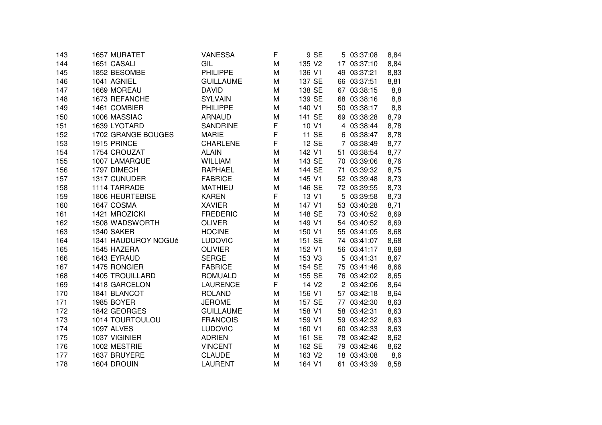| 143 | 1657 MURATET           | VANESSA          | F | 9 SE              | 5 03:37:08  | 8,84 |
|-----|------------------------|------------------|---|-------------------|-------------|------|
| 144 | 1651 CASALI            | GIL              | M | 135 V2            | 17 03:37:10 | 8,84 |
| 145 | 1852 BESOMBE           | <b>PHILIPPE</b>  | M | 136 V1            | 49 03:37:21 | 8,83 |
| 146 | 1041 AGNIEL            | <b>GUILLAUME</b> | M | 137 SE            | 66 03:37:51 | 8,81 |
| 147 | 1669 MOREAU            | <b>DAVID</b>     | M | 138 SE            | 67 03:38:15 | 8,8  |
| 148 | 1673 REFANCHE          | <b>SYLVAIN</b>   | M | 139 SE            | 68 03:38:16 | 8,8  |
| 149 | 1461 COMBIER           | <b>PHILIPPE</b>  | M | 140 V1            | 50 03:38:17 | 8,8  |
| 150 | 1006 MASSIAC           | <b>ARNAUD</b>    | M | 141 SE            | 69 03:38:28 | 8,79 |
| 151 | 1639 LYOTARD           | <b>SANDRINE</b>  | F | 10 V1             | 4 03:38:44  | 8,78 |
| 152 | 1702 GRANGE BOUGES     | <b>MARIE</b>     | F | 11 SE             | 6 03:38:47  | 8,78 |
| 153 | 1915 PRINCE            | <b>CHARLENE</b>  | F | 12 SE             | 7 03:38:49  | 8,77 |
| 154 | 1754 CROUZAT           | <b>ALAIN</b>     | M | 142 V1            | 51 03:38:54 | 8,77 |
| 155 | 1007 LAMARQUE          | <b>WILLIAM</b>   | М | 143 SE            | 70 03:39:06 | 8,76 |
| 156 | 1797 DIMECH            | <b>RAPHAEL</b>   | M | 144 SE            | 71 03:39:32 | 8,75 |
| 157 | 1317 CUNUDER           | <b>FABRICE</b>   | M | 145 V1            | 52 03:39:48 | 8,73 |
| 158 | 1114 TARRADE           | <b>MATHIEU</b>   | M | 146 SE            | 72 03:39:55 | 8,73 |
| 159 | <b>1806 HEURTEBISE</b> | <b>KAREN</b>     | F | 13 V1             | 5 03:39:58  | 8,73 |
| 160 | 1647 COSMA             | <b>XAVIER</b>    | M | 147 V1            | 53 03:40:28 | 8,71 |
| 161 | 1421 MROZICKI          | <b>FREDERIC</b>  | М | 148 SE            | 73 03:40:52 | 8,69 |
| 162 | 1508 WADSWORTH         | <b>OLIVER</b>    | M | 149 V1            | 54 03:40:52 | 8,69 |
| 163 | 1340 SAKER             | <b>HOCINE</b>    | M | 150 V1            | 55 03:41:05 | 8,68 |
| 164 | 1341 HAUDUROY NOGUé    | <b>LUDOVIC</b>   | M | 151 SE            | 74 03:41:07 | 8,68 |
| 165 | 1545 HAZERA            | <b>OLIVIER</b>   | М | 152 V1            | 56 03:41:17 | 8,68 |
| 166 | 1643 EYRAUD            | <b>SERGE</b>     | M | 153 V3            | 5 03:41:31  | 8,67 |
| 167 | 1475 RONGIER           | <b>FABRICE</b>   | M | 154 SE            | 75 03:41:46 | 8,66 |
| 168 | <b>1405 TROUILLARD</b> | <b>ROMUALD</b>   | M | 155 SE            | 76 03:42:02 | 8,65 |
| 169 | 1418 GARCELON          | <b>LAURENCE</b>  | F | 14 V <sub>2</sub> | 2 03:42:06  | 8,64 |
| 170 | 1841 BLANCOT           | <b>ROLAND</b>    | M | 156 V1            | 57 03:42:18 | 8,64 |
| 171 | 1985 BOYER             | <b>JEROME</b>    | M | 157 SE            | 77 03:42:30 | 8,63 |
| 172 | 1842 GEORGES           | <b>GUILLAUME</b> | M | 158 V1            | 58 03:42:31 | 8,63 |
| 173 | 1014 TOURTOULOU        | <b>FRANCOIS</b>  | M | 159 V1            | 59 03:42:32 | 8,63 |
| 174 | <b>1097 ALVES</b>      | <b>LUDOVIC</b>   | M | 160 V1            | 60 03:42:33 | 8,63 |
| 175 | 1037 VIGINIER          | <b>ADRIEN</b>    | M | 161 SE            | 78 03:42:42 | 8,62 |
| 176 | 1002 MESTRIE           | <b>VINCENT</b>   | М | 162 SE            | 79 03:42:46 | 8,62 |
| 177 | 1637 BRUYERE           | <b>CLAUDE</b>    | М | 163 V2            | 18 03:43:08 | 8,6  |
| 178 | 1604 DROUIN            | <b>LAURENT</b>   | M | 164 V1            | 61 03:43:39 | 8,58 |
|     |                        |                  |   |                   |             |      |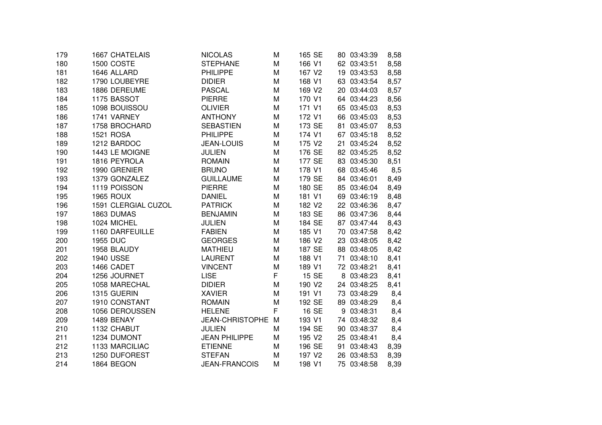| 179 | 1667 CHATELAIS      | <b>NICOLAS</b>         | M | 165 SE             | 80 03:43:39 | 8,58 |
|-----|---------------------|------------------------|---|--------------------|-------------|------|
| 180 | 1500 COSTE          | <b>STEPHANE</b>        | M | 166 V1             | 62 03:43:51 | 8,58 |
| 181 | 1646 ALLARD         | <b>PHILIPPE</b>        | M | 167 V2             | 19 03:43:53 | 8,58 |
| 182 | 1790 LOUBEYRE       | <b>DIDIER</b>          | M | 168 V1             | 63 03:43:54 | 8,57 |
| 183 | 1886 DEREUME        | <b>PASCAL</b>          | M | 169 V2             | 20 03:44:03 | 8,57 |
| 184 | 1175 BASSOT         | <b>PIERRE</b>          | M | 170 V1             | 64 03:44:23 | 8,56 |
| 185 | 1098 BOUISSOU       | <b>OLIVIER</b>         | M | 171 V1             | 65 03:45:03 | 8,53 |
| 186 | 1741 VARNEY         | <b>ANTHONY</b>         | M | 172 V1             | 66 03:45:03 | 8,53 |
| 187 | 1758 BROCHARD       | <b>SEBASTIEN</b>       | M | 173 SE             | 81 03:45:07 | 8,53 |
| 188 | <b>1521 ROSA</b>    | <b>PHILIPPE</b>        | M | 174 V1             | 67 03:45:18 | 8,52 |
| 189 | 1212 BARDOC         | <b>JEAN-LOUIS</b>      | M | 175 V2             | 21 03:45:24 | 8,52 |
| 190 | 1443 LE MOIGNE      | <b>JULIEN</b>          | М | 176 SE             | 82 03:45:25 | 8,52 |
| 191 | 1816 PEYROLA        | <b>ROMAIN</b>          | M | 177 SE             | 83 03:45:30 | 8,51 |
| 192 | 1990 GRENIER        | <b>BRUNO</b>           | M | 178 V1             | 68 03:45:46 | 8,5  |
| 193 | 1379 GONZALEZ       | <b>GUILLAUME</b>       | M | 179 SE             | 84 03:46:01 | 8,49 |
| 194 | 1119 POISSON        | <b>PIERRE</b>          | M | 180 SE             | 85 03:46:04 | 8,49 |
| 195 | <b>1965 ROUX</b>    | <b>DANIEL</b>          | M | 181 V1             | 69 03:46:19 | 8,48 |
| 196 | 1591 CLERGIAL CUZOL | <b>PATRICK</b>         | M | 182 V <sub>2</sub> | 22 03:46:36 | 8,47 |
| 197 | 1863 DUMAS          | <b>BENJAMIN</b>        | M | 183 SE             | 86 03:47:36 | 8,44 |
| 198 | 1024 MICHEL         | <b>JULIEN</b>          | M | 184 SE             | 87 03:47:44 | 8,43 |
| 199 | 1160 DARFEUILLE     | <b>FABIEN</b>          | M | 185 V1             | 70 03:47:58 | 8,42 |
| 200 | <b>1955 DUC</b>     | <b>GEORGES</b>         | M | 186 V2             | 23 03:48:05 | 8,42 |
| 201 | 1958 BLAUDY         | <b>MATHIEU</b>         | M | 187 SE             | 88 03:48:05 | 8,42 |
| 202 | <b>1940 USSE</b>    | <b>LAURENT</b>         | M | 188 V1             | 71 03:48:10 | 8,41 |
| 203 | 1466 CADET          | <b>VINCENT</b>         | M | 189 V1             | 72 03:48:21 | 8,41 |
| 204 | 1256 JOURNET        | <b>LISE</b>            | F | 15 SE              | 8 03:48:23  | 8,41 |
| 205 | 1058 MARECHAL       | <b>DIDIER</b>          | M | 190 V <sub>2</sub> | 24 03:48:25 | 8,41 |
| 206 | 1315 GUERIN         | <b>XAVIER</b>          | M | 191 V1             | 73 03:48:29 | 8,4  |
| 207 | 1910 CONSTANT       | <b>ROMAIN</b>          | M | 192 SE             | 89 03:48:29 | 8,4  |
| 208 | 1056 DEROUSSEN      | <b>HELENE</b>          | F | 16 SE              | 9 03:48:31  | 8,4  |
| 209 | 1489 BENAY          | <b>JEAN-CHRISTOPHE</b> | M | 193 V1             | 74 03:48:32 | 8,4  |
| 210 | 1132 CHABUT         | <b>JULIEN</b>          | М | 194 SE             | 90 03:48:37 | 8,4  |
| 211 | 1234 DUMONT         | <b>JEAN PHILIPPE</b>   | M | 195 V2             | 25 03:48:41 | 8,4  |
| 212 | 1133 MARCILIAC      | <b>ETIENNE</b>         | M | 196 SE             | 91 03:48:43 | 8,39 |
| 213 | 1250 DUFOREST       | <b>STEFAN</b>          | M | 197 V <sub>2</sub> | 26 03:48:53 | 8,39 |
| 214 | 1864 BEGON          | <b>JEAN-FRANCOIS</b>   | M | 198 V1             | 75 03:48:58 | 8,39 |
|     |                     |                        |   |                    |             |      |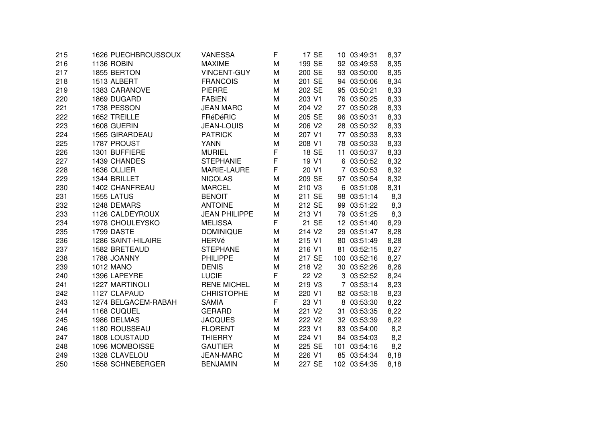| 215 | 1626 PUECHBROUSSOUX   | VANESSA              | F | 17 SE             | 10 03:49:31  | 8,37 |
|-----|-----------------------|----------------------|---|-------------------|--------------|------|
| 216 | 1136 ROBIN            | <b>MAXIME</b>        | M | 199 SE            | 92 03:49:53  | 8,35 |
| 217 | 1855 BERTON           | <b>VINCENT-GUY</b>   | м | 200 SE            | 93 03:50:00  | 8,35 |
| 218 | 1513 ALBERT           | <b>FRANCOIS</b>      | M | 201 SE            | 94 03:50:06  | 8,34 |
| 219 | 1383 CARANOVE         | <b>PIERRE</b>        | M | 202 SE            | 95 03:50:21  | 8,33 |
| 220 | 1869 DUGARD           | <b>FABIEN</b>        | M | 203 V1            | 76 03:50:25  | 8,33 |
| 221 | 1738 PESSON           | <b>JEAN MARC</b>     | M | 204 V2            | 27 03:50:28  | 8,33 |
| 222 | 1652 TREILLE          | FRéDéRIC             | M | 205 SE            | 96 03:50:31  | 8,33 |
| 223 | 1608 GUERIN           | <b>JEAN-LOUIS</b>    | M | 206 V2            | 28 03:50:32  | 8,33 |
| 224 | <b>1565 GIRARDEAU</b> | <b>PATRICK</b>       | M | 207 V1            | 77 03:50:33  | 8,33 |
| 225 | 1787 PROUST           | <b>YANN</b>          | M | 208 V1            | 78 03:50:33  | 8,33 |
| 226 | 1301 BUFFIERE         | <b>MURIEL</b>        | F | 18 SE             | 11 03:50:37  | 8,33 |
| 227 | 1439 CHANDES          | <b>STEPHANIE</b>     | F | 19 V1             | 6 03:50:52   | 8,32 |
| 228 | 1636 OLLIER           | MARIE-LAURE          | F | 20 V1             | 7 03:50:53   | 8,32 |
| 229 | 1344 BRILLET          | <b>NICOLAS</b>       | M | 209 SE            | 97 03:50:54  | 8,32 |
| 230 | <b>1402 CHANFREAU</b> | <b>MARCEL</b>        | M | 210 V3            | 6 03:51:08   | 8,31 |
| 231 | 1555 LATUS            | <b>BENOIT</b>        | M | 211 SE            | 98 03:51:14  | 8,3  |
| 232 | 1248 DEMARS           | <b>ANTOINE</b>       | M | 212 SE            | 99 03:51:22  | 8,3  |
| 233 | 1126 CALDEYROUX       | <b>JEAN PHILIPPE</b> | M | 213 V1            | 79 03:51:25  | 8,3  |
| 234 | 1978 CHOULEYSKO       | <b>MELISSA</b>       | F | 21 SE             | 12 03:51:40  | 8,29 |
| 235 | 1799 DASTE            | <b>DOMINIQUE</b>     | M | 214 V2            | 29 03:51:47  | 8,28 |
| 236 | 1286 SAINT-HILAIRE    | <b>HERVé</b>         | M | 215 V1            | 80 03:51:49  | 8,28 |
| 237 | 1582 BRETEAUD         | <b>STEPHANE</b>      | M | 216 V1            | 81 03:52:15  | 8,27 |
| 238 | 1788 JOANNY           | <b>PHILIPPE</b>      | M | 217 SE            | 100 03:52:16 | 8,27 |
| 239 | <b>1012 MANO</b>      | <b>DENIS</b>         | M | 218 V2            | 30 03:52:26  | 8,26 |
| 240 | 1396 LAPEYRE          | <b>LUCIE</b>         | F | 22 V <sub>2</sub> | 3 03:52:52   | 8,24 |
| 241 | 1227 MARTINOLI        | <b>RENE MICHEL</b>   | M | 219 V3            | 7 03:53:14   | 8,23 |
| 242 | 1127 CLAPAUD          | <b>CHRISTOPHE</b>    | M | 220 V1            | 82 03:53:18  | 8,23 |
| 243 | 1274 BELGACEM-RABAH   | <b>SAMIA</b>         | F | 23 V1             | 8 03:53:30   | 8,22 |
| 244 | 1168 CUQUEL           | <b>GERARD</b>        | M | 221 V2            | 31 03:53:35  | 8,22 |
| 245 | 1986 DELMAS           | <b>JACQUES</b>       | M | 222 V2            | 32 03:53:39  | 8,22 |
| 246 | 1180 ROUSSEAU         | <b>FLORENT</b>       | M | 223 V1            | 83 03:54:00  | 8,2  |
| 247 | 1808 LOUSTAUD         | <b>THIERRY</b>       | M | 224 V1            | 84 03:54:03  | 8,2  |
| 248 | 1096 MOMBOISSE        | <b>GAUTIER</b>       | M | 225 SE            | 101 03:54:16 | 8,2  |
| 249 | 1328 CLAVELOU         | <b>JEAN-MARC</b>     | М | 226 V1            | 85 03:54:34  | 8,18 |
| 250 | 1558 SCHNEBERGER      | <b>BENJAMIN</b>      | M | 227 SE            | 102 03:54:35 | 8,18 |
|     |                       |                      |   |                   |              |      |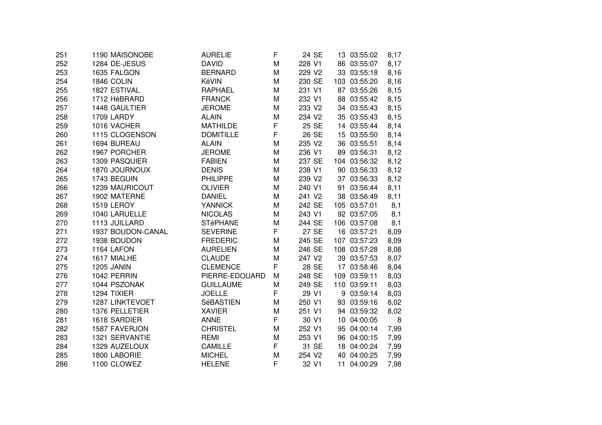| 251 | 1190 MAISONOBE    | <b>AURELIE</b>   | F | 24 SE              | 13 03:55:02  | 8,17 |
|-----|-------------------|------------------|---|--------------------|--------------|------|
| 252 | 1284 DE-JESUS     | <b>DAVID</b>     | M | 228 V1             | 86 03:55:07  | 8,17 |
| 253 | 1635 FALGON       | <b>BERNARD</b>   | M | 229 V2             | 33 03:55:18  | 8,16 |
| 254 | 1846 COLIN        | KéVIN            | M | 230 SE             | 103 03:55:20 | 8,16 |
| 255 | 1827 ESTIVAL      | <b>RAPHAEL</b>   | M | 231 V1             | 87 03:55:26  | 8,15 |
| 256 | 1712 HéBRARD      | <b>FRANCK</b>    | M | 232 V1             | 88 03:55:42  | 8,15 |
| 257 | 1448 GAULTIER     | <b>JEROME</b>    | M | 233 V2             | 34 03:55:43  | 8,15 |
| 258 | 1709 LARDY        | <b>ALAIN</b>     | M | 234 V2             | 35 03:55:43  | 8,15 |
| 259 | 1016 VACHER       | <b>MATHILDE</b>  | F | 25 SE              | 14 03:55:44  | 8,14 |
| 260 | 1115 CLOGENSON    | <b>DOMITILLE</b> | F | 26 SE              | 15 03:55:50  | 8,14 |
| 261 | 1694 BUREAU       | <b>ALAIN</b>     | M | 235 V2             | 36 03:55:51  | 8,14 |
| 262 | 1967 PORCHER      | <b>JEROME</b>    | M | 236 V1             | 89 03:56:31  | 8,12 |
| 263 | 1309 PASQUIER     | <b>FABIEN</b>    | M | 237 SE             | 104 03:56:32 | 8,12 |
| 264 | 1870 JOURNOUX     | <b>DENIS</b>     | M | 238 V1             | 90 03:56:33  | 8,12 |
| 265 | 1743 BEGUIN       | <b>PHILIPPE</b>  | M | 239 V2             | 37 03:56:33  | 8,12 |
| 266 | 1239 MAURICOUT    | <b>OLIVIER</b>   | M | 240 V1             | 91 03:56:44  | 8,11 |
| 267 | 1902 MATERNE      | <b>DANIEL</b>    | M | 241 V2             | 38 03:56:49  | 8,11 |
| 268 | 1519 LEROY        | <b>YANNICK</b>   | M | 242 SE             | 105 03:57:01 | 8,1  |
| 269 | 1040 LARUELLE     | <b>NICOLAS</b>   | M | 243 V1             | 92 03:57:05  | 8,1  |
| 270 | 1113 JUILLARD     | <b>STéPHANE</b>  | M | 244 SE             | 106 03:57:08 | 8,1  |
| 271 | 1937 BOUDON-CANAL | <b>SEVERINE</b>  | F | 27 SE              | 16 03:57:21  | 8,09 |
| 272 | 1938 BOUDON       | <b>FREDERIC</b>  | M | 245 SE             | 107 03:57:23 | 8,09 |
| 273 | 1164 LAFON        | <b>AURELIEN</b>  | M | 246 SE             | 108 03:57:28 | 8,08 |
| 274 | 1617 MIALHE       | <b>CLAUDE</b>    | M | 247 V <sub>2</sub> | 39 03:57:53  | 8,07 |
| 275 | <b>1205 JANIN</b> | <b>CLEMENCE</b>  | F | 28 SE              | 17 03:58:46  | 8,04 |
| 276 | 1042 PERRIN       | PIERRE-EDOUARD   | M | 248 SE             | 109 03:59:11 | 8,03 |
| 277 | 1044 PSZONAK      | <b>GUILLAUME</b> | M | 249 SE             | 110 03:59:11 | 8,03 |
| 278 | 1294 TIXIER       | <b>JOELLE</b>    | F | 29 V1              | 9 03:59:14   | 8,03 |
| 279 | 1287 LINKTEVOET   | SéBASTIEN        | M | 250 V1             | 93 03:59:16  | 8,02 |
| 280 | 1376 PELLETIER    | <b>XAVIER</b>    | M | 251 V1             | 94 03:59:32  | 8,02 |
| 281 | 1618 SARDIER      | <b>ANNE</b>      | F | 30 V1              | 10 04:00:05  | 8    |
| 282 | 1587 FAVERJON     | <b>CHRISTEL</b>  | M | 252 V1             | 95 04:00:14  | 7,99 |
| 283 | 1321 SERVANTIE    | <b>REMI</b>      | M | 253 V1             | 96 04:00:15  | 7,99 |
| 284 | 1329 AUZELOUX     | <b>CAMILLE</b>   | F | 31 SE              | 18 04:00:24  | 7,99 |
| 285 | 1800 LABORIE      | <b>MICHEL</b>    | M | 254 V2             | 40 04:00:25  | 7,99 |
| 286 | 1100 CLOWEZ       | <b>HELENE</b>    | F | 32 V1              | 11 04:00:29  | 7,98 |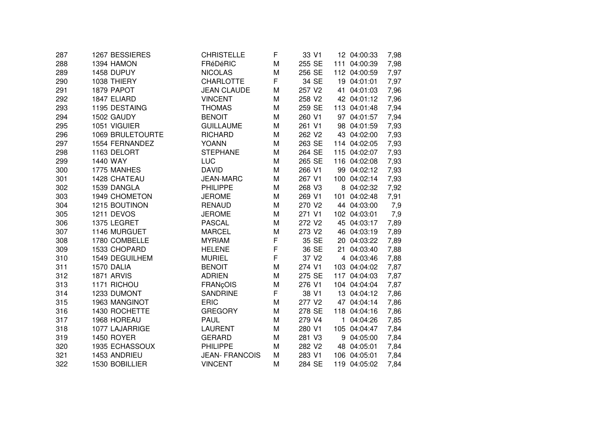| 287 | 1267 BESSIERES    | CHRISTELLE            | F           | 33 V1             | 12 04:00:33  | 7,98 |
|-----|-------------------|-----------------------|-------------|-------------------|--------------|------|
| 288 | 1394 HAMON        | FRéDéRIC              | M           | 255 SE            | 111 04:00:39 | 7,98 |
| 289 | 1458 DUPUY        | <b>NICOLAS</b>        | M           | 256 SE            | 112 04:00:59 | 7,97 |
| 290 | 1038 THIERY       | <b>CHARLOTTE</b>      | F           | 34 SE             | 19 04:01:01  | 7,97 |
| 291 | 1879 PAPOT        | <b>JEAN CLAUDE</b>    | M           | 257 V2            | 41 04:01:03  | 7,96 |
| 292 | 1847 ELIARD       | <b>VINCENT</b>        | M           | 258 V2            | 42 04:01:12  | 7,96 |
| 293 | 1195 DESTAING     | <b>THOMAS</b>         | M           | 259 SE            | 113 04:01:48 | 7,94 |
| 294 | 1502 GAUDY        | <b>BENOIT</b>         | M           | 260 V1            | 97 04:01:57  | 7,94 |
| 295 | 1051 VIGUIER      | <b>GUILLAUME</b>      | M           | 261 V1            | 98 04:01:59  | 7,93 |
| 296 | 1069 BRULETOURTE  | <b>RICHARD</b>        | M           | 262 V2            | 43 04:02:00  | 7,93 |
| 297 | 1554 FERNANDEZ    | <b>YOANN</b>          | M           | 263 SE            | 114 04:02:05 | 7,93 |
| 298 | 1163 DELORT       | <b>STEPHANE</b>       | M           | 264 SE            | 115 04:02:07 | 7,93 |
| 299 | 1440 WAY          | LUC                   | M           | 265 SE            | 116 04:02:08 | 7,93 |
| 300 | 1775 MANHES       | <b>DAVID</b>          | M           | 266 V1            | 99 04:02:12  | 7,93 |
| 301 | 1428 CHATEAU      | <b>JEAN-MARC</b>      | M           | 267 V1            | 100 04:02:14 | 7,93 |
| 302 | 1539 DANGLA       | <b>PHILIPPE</b>       | M           | 268 V3            | 8 04:02:32   | 7,92 |
| 303 | 1949 CHOMETON     | <b>JEROME</b>         | M           | 269 V1            | 101 04:02:48 | 7,91 |
| 304 | 1215 BOUTINON     | <b>RENAUD</b>         | M           | 270 V2            | 44 04:03:00  | 7,9  |
| 305 | 1211 DEVOS        | <b>JEROME</b>         | M           | 271 V1            | 102 04:03:01 | 7,9  |
| 306 | 1375 LEGRET       | <b>PASCAL</b>         | M           | 272 V2            | 45 04:03:17  | 7,89 |
| 307 | 1146 MURGUET      | <b>MARCEL</b>         | M           | 273 V2            | 46 04:03:19  | 7,89 |
| 308 | 1780 COMBELLE     | <b>MYRIAM</b>         | F           | 35 SE             | 20 04:03:22  | 7,89 |
| 309 | 1533 CHOPARD      | <b>HELENE</b>         | $\mathsf F$ | 36 SE             | 21 04:03:40  | 7,88 |
| 310 | 1549 DEGUILHEM    | <b>MURIEL</b>         | F           | 37 V <sub>2</sub> | 4 04:03:46   | 7,88 |
| 311 | 1570 DALIA        | <b>BENOIT</b>         | M           | 274 V1            | 103 04:04:02 | 7,87 |
| 312 | 1871 ARVIS        | <b>ADRIEN</b>         | M           | 275 SE            | 117 04:04:03 | 7,87 |
| 313 | 1171 RICHOU       | <b>FRANçOIS</b>       | M           | 276 V1            | 104 04:04:04 | 7,87 |
| 314 | 1233 DUMONT       | <b>SANDRINE</b>       | F.          | 38 V1             | 13 04:04:12  | 7,86 |
| 315 | 1963 MANGINOT     | <b>ERIC</b>           | M           | 277 V2            | 47 04:04:14  | 7,86 |
| 316 | 1430 ROCHETTE     | <b>GREGORY</b>        | M           | 278 SE            | 118 04:04:16 | 7,86 |
| 317 | 1968 HOREAU       | <b>PAUL</b>           | M           | 279 V4            | 1 04:04:26   | 7,85 |
| 318 | 1077 LAJARRIGE    | <b>LAURENT</b>        | M           | 280 V1            | 105 04:04:47 | 7,84 |
| 319 | <b>1450 ROYER</b> | <b>GERARD</b>         | M           | 281 V3            | 9 04:05:00   | 7,84 |
| 320 | 1935 ECHASSOUX    | <b>PHILIPPE</b>       | M           | 282 V2            | 48 04:05:01  | 7,84 |
| 321 | 1453 ANDRIEU      | <b>JEAN- FRANCOIS</b> | M           | 283 V1            | 106 04:05:01 | 7,84 |
| 322 | 1530 BOBILLIER    | <b>VINCENT</b>        | M           | 284 SE            | 119 04:05:02 | 7,84 |
|     |                   |                       |             |                   |              |      |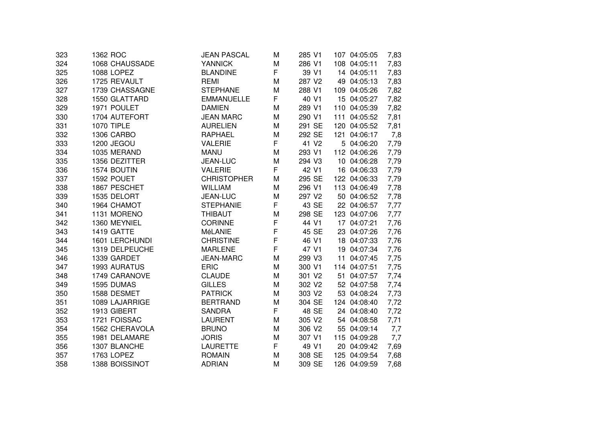| 323 | 1362 ROC          | <b>JEAN PASCAL</b> | М | 285 V1            | 107 04:05:05 | 7,83 |
|-----|-------------------|--------------------|---|-------------------|--------------|------|
| 324 | 1068 CHAUSSADE    | <b>YANNICK</b>     | M | 286 V1            | 108 04:05:11 | 7,83 |
| 325 | 1088 LOPEZ        | <b>BLANDINE</b>    | F | 39 V1             | 14 04:05:11  | 7,83 |
| 326 | 1725 REVAULT      | <b>REMI</b>        | M | 287 V2            | 49 04:05:13  | 7,83 |
| 327 | 1739 CHASSAGNE    | <b>STEPHANE</b>    | M | 288 V1            | 109 04:05:26 | 7,82 |
| 328 | 1550 GLATTARD     | <b>EMMANUELLE</b>  | F | 40 V1             | 15 04:05:27  | 7,82 |
| 329 | 1971 POULET       | <b>DAMIEN</b>      | M | 289 V1            | 110 04:05:39 | 7,82 |
| 330 | 1704 AUTEFORT     | <b>JEAN MARC</b>   | M | 290 V1            | 111 04:05:52 | 7,81 |
| 331 | <b>1070 TIPLE</b> | <b>AURELIEN</b>    | M | 291 SE            | 120 04:05:52 | 7,81 |
| 332 | 1306 CARBO        | <b>RAPHAEL</b>     | M | 292 SE            | 121 04:06:17 | 7,8  |
| 333 | 1200 JEGOU        | <b>VALERIE</b>     | F | 41 V <sub>2</sub> | 5 04:06:20   | 7,79 |
| 334 | 1035 MERAND       | <b>MANU</b>        | М | 293 V1            | 112 04:06:26 | 7,79 |
| 335 | 1356 DEZITTER     | JEAN-LUC           | M | 294 V3            | 10 04:06:28  | 7,79 |
| 336 | 1574 BOUTIN       | <b>VALERIE</b>     | F | 42 V1             | 16 04:06:33  | 7,79 |
| 337 | 1592 POUET        | <b>CHRISTOPHER</b> | M | 295 SE            | 122 04:06:33 | 7,79 |
| 338 | 1867 PESCHET      | <b>WILLIAM</b>     | M | 296 V1            | 113 04:06:49 | 7,78 |
| 339 | 1535 DELORT       | <b>JEAN-LUC</b>    | M | 297 V2            | 50 04:06:52  | 7,78 |
| 340 | 1964 CHAMOT       | <b>STEPHANIE</b>   | F | 43 SE             | 22 04:06:57  | 7,77 |
| 341 | 1131 MORENO       | <b>THIBAUT</b>     | M | 298 SE            | 123 04:07:06 | 7,77 |
| 342 | 1360 MEYNIEL      | <b>CORINNE</b>     | F | 44 V1             | 17 04:07:21  | 7,76 |
| 343 | 1419 GATTE        | MéLANIE            | F | 45 SE             | 23 04:07:26  | 7,76 |
| 344 | 1601 LERCHUNDI    | <b>CHRISTINE</b>   | F | 46 V1             | 18 04:07:33  | 7,76 |
| 345 | 1319 DELPEUCHE    | <b>MARLENE</b>     | F | 47 V1             | 19 04:07:34  | 7,76 |
| 346 | 1339 GARDET       | <b>JEAN-MARC</b>   | M | 299 V3            | 11 04:07:45  | 7,75 |
| 347 | 1993 AURATUS      | <b>ERIC</b>        | M | 300 V1            | 114 04:07:51 | 7,75 |
| 348 | 1749 CARANOVE     | <b>CLAUDE</b>      | M | 301 V2            | 51 04:07:57  | 7,74 |
| 349 | 1595 DUMAS        | <b>GILLES</b>      | M | 302 V2            | 52 04:07:58  | 7,74 |
| 350 | 1588 DESMET       | <b>PATRICK</b>     | M | 303 V2            | 53 04:08:24  | 7,73 |
| 351 | 1089 LAJARRIGE    | <b>BERTRAND</b>    | M | 304 SE            | 124 04:08:40 | 7,72 |
| 352 | 1913 GIBERT       | <b>SANDRA</b>      | F | 48 SE             | 24 04:08:40  | 7,72 |
| 353 | 1721 FOISSAC      | <b>LAURENT</b>     | M | 305 V2            | 54 04:08:58  | 7,71 |
| 354 | 1562 CHERAVOLA    | <b>BRUNO</b>       | M | 306 V2            | 55 04:09:14  | 7,7  |
| 355 | 1981 DELAMARE     | <b>JORIS</b>       | M | 307 V1            | 115 04:09:28 | 7,7  |
| 356 | 1307 BLANCHE      | <b>LAURETTE</b>    | F | 49 V1             | 20 04:09:42  | 7,69 |
| 357 | 1763 LOPEZ        | <b>ROMAIN</b>      | M | 308 SE            | 125 04:09:54 | 7,68 |
| 358 | 1388 BOISSINOT    | <b>ADRIAN</b>      | M | 309 SE            | 126 04:09:59 | 7,68 |
|     |                   |                    |   |                   |              |      |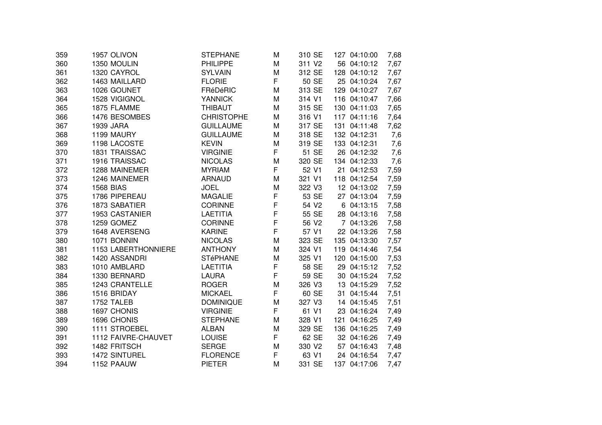| 359 | 1957 OLIVON         | <b>STEPHANE</b>   | M | 310 SE             | 127 04:10:00 | 7,68 |
|-----|---------------------|-------------------|---|--------------------|--------------|------|
| 360 | 1350 MOULIN         | PHILIPPE          | M | 311 V <sub>2</sub> | 56 04:10:12  | 7,67 |
| 361 | 1320 CAYROL         | <b>SYLVAIN</b>    | M | 312 SE             | 128 04:10:12 | 7,67 |
| 362 | 1463 MAILLARD       | <b>FLORIE</b>     | F | 50 SE              | 25 04:10:24  | 7,67 |
| 363 | 1026 GOUNET         | FRéDéRIC          | M | 313 SE             | 129 04:10:27 | 7,67 |
| 364 | 1528 VIGIGNOL       | <b>YANNICK</b>    | M | 314 V1             | 116 04:10:47 | 7,66 |
| 365 | 1875 FLAMME         | <b>THIBAUT</b>    | M | 315 SE             | 130 04:11:03 | 7,65 |
| 366 | 1476 BESOMBES       | <b>CHRISTOPHE</b> | M | 316 V1             | 117 04:11:16 | 7,64 |
| 367 | 1939 JARA           | <b>GUILLAUME</b>  | M | 317 SE             | 131 04:11:48 | 7,62 |
| 368 | 1199 MAURY          | <b>GUILLAUME</b>  | M | 318 SE             | 132 04:12:31 | 7,6  |
| 369 | 1198 LACOSTE        | <b>KEVIN</b>      | M | 319 SE             | 133 04:12:31 | 7,6  |
| 370 | 1831 TRAISSAC       | <b>VIRGINIE</b>   | F | 51 SE              | 26 04:12:32  | 7,6  |
| 371 | 1916 TRAISSAC       | <b>NICOLAS</b>    | M | 320 SE             | 134 04:12:33 | 7,6  |
| 372 | 1288 MAINEMER       | <b>MYRIAM</b>     | F | 52 V1              | 21 04:12:53  | 7,59 |
| 373 | 1246 MAINEMER       | <b>ARNAUD</b>     | M | 321 V1             | 118 04:12:54 | 7,59 |
| 374 | <b>1568 BIAS</b>    | <b>JOEL</b>       | M | 322 V3             | 12 04:13:02  | 7,59 |
| 375 | 1786 PIPEREAU       | <b>MAGALIE</b>    | F | 53 SE              | 27 04:13:04  | 7,59 |
| 376 | 1873 SABATIER       | <b>CORINNE</b>    | F | 54 V2              | 6 04:13:15   | 7,58 |
| 377 | 1953 CASTANIER      | <b>LAETITIA</b>   | F | 55 SE              | 28 04:13:16  | 7,58 |
| 378 | 1259 GOMEZ          | <b>CORINNE</b>    | F | 56 V2              | 7 04:13:26   | 7,58 |
| 379 | 1648 AVERSENG       | <b>KARINE</b>     | F | 57 V1              | 22 04:13:26  | 7,58 |
| 380 | 1071 BONNIN         | <b>NICOLAS</b>    | M | 323 SE             | 135 04:13:30 | 7,57 |
| 381 | 1153 LABERTHONNIERE | <b>ANTHONY</b>    | M | 324 V1             | 119 04:14:46 | 7,54 |
| 382 | 1420 ASSANDRI       | <b>STéPHANE</b>   | M | 325 V1             | 120 04:15:00 | 7,53 |
| 383 | 1010 AMBLARD        | <b>LAETITIA</b>   | F | 58 SE              | 29 04:15:12  | 7,52 |
| 384 | 1330 BERNARD        | <b>LAURA</b>      | F | 59 SE              | 30 04:15:24  | 7,52 |
| 385 | 1243 CRANTELLE      | <b>ROGER</b>      | M | 326 V3             | 13 04:15:29  | 7,52 |
| 386 | 1516 BRIDAY         | <b>MICKAEL</b>    | F | 60 SE              | 31 04:15:44  | 7,51 |
| 387 | 1752 TALEB          | <b>DOMINIQUE</b>  | M | 327 V3             | 14 04:15:45  | 7,51 |
| 388 | 1697 CHONIS         | <b>VIRGINIE</b>   | F | 61 V1              | 23 04:16:24  | 7,49 |
| 389 | 1696 CHONIS         | <b>STEPHANE</b>   | M | 328 V1             | 121 04:16:25 | 7,49 |
| 390 | 1111 STROEBEL       | <b>ALBAN</b>      | M | 329 SE             | 136 04:16:25 | 7,49 |
| 391 | 1112 FAIVRE-CHAUVET | <b>LOUISE</b>     | F | 62 SE              | 32 04:16:26  | 7,49 |
| 392 | 1482 FRITSCH        | <b>SERGE</b>      | M | 330 V2             | 57 04:16:43  | 7,48 |
| 393 | 1472 SINTUREL       | <b>FLORENCE</b>   | F | 63 V1              | 24 04:16:54  | 7,47 |
| 394 | 1152 PAAUW          | <b>PIETER</b>     | M | 331 SE             | 137 04:17:06 | 7,47 |
|     |                     |                   |   |                    |              |      |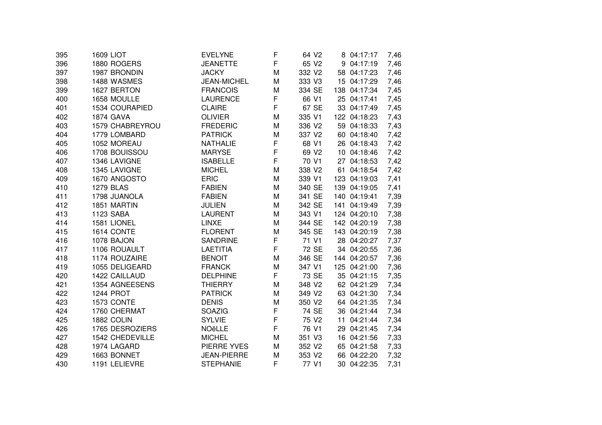| 395 | 1609 LIOT        | <b>EVELYNE</b>     | F | 64 V <sub>2</sub> | 8 04:17:17   | 7,46 |
|-----|------------------|--------------------|---|-------------------|--------------|------|
| 396 | 1880 ROGERS      | <b>JEANETTE</b>    | F | 65 V2             | 9 04:17:19   | 7,46 |
| 397 | 1987 BRONDIN     | <b>JACKY</b>       | M | 332 V2            | 58 04:17:23  | 7,46 |
| 398 | 1488 WASMES      | <b>JEAN-MICHEL</b> | M | 333 V3            | 15 04:17:29  | 7,46 |
| 399 | 1627 BERTON      | <b>FRANCOIS</b>    | M | 334 SE            | 138 04:17:34 | 7,45 |
| 400 | 1658 MOULLE      | <b>LAURENCE</b>    | F | 66 V1             | 25 04:17:41  | 7,45 |
| 401 | 1534 COURAPIED   | <b>CLAIRE</b>      | F | 67 SE             | 33 04:17:49  | 7,45 |
| 402 | <b>1874 GAVA</b> | <b>OLIVIER</b>     | M | 335 V1            | 122 04:18:23 | 7,43 |
| 403 | 1579 CHABREYROU  | <b>FREDERIC</b>    | M | 336 V2            | 59 04:18:33  | 7,43 |
| 404 | 1779 LOMBARD     | <b>PATRICK</b>     | M | 337 V2            | 60 04:18:40  | 7,42 |
| 405 | 1052 MOREAU      | <b>NATHALIE</b>    | F | 68 V1             | 26 04:18:43  | 7,42 |
| 406 | 1708 BOUISSOU    | <b>MARYSE</b>      | F | 69 V <sub>2</sub> | 10 04:18:46  | 7,42 |
| 407 | 1346 LAVIGNE     | <b>ISABELLE</b>    | F | 70 V1             | 27 04:18:53  | 7,42 |
| 408 | 1345 LAVIGNE     | <b>MICHEL</b>      | M | 338 V2            | 61 04:18:54  | 7,42 |
| 409 | 1670 ANGOSTO     | <b>ERIC</b>        | M | 339 V1            | 123 04:19:03 | 7,41 |
| 410 | <b>1279 BLAS</b> | <b>FABIEN</b>      | M | 340 SE            | 139 04:19:05 | 7,41 |
| 411 | 1798 JUANOLA     | <b>FABIEN</b>      | M | 341 SE            | 140 04:19:41 | 7,39 |
| 412 | 1851 MARTIN      | <b>JULIEN</b>      | M | 342 SE            | 141 04:19:49 | 7,39 |
| 413 | 1123 SABA        | <b>LAURENT</b>     | M | 343 V1            | 124 04:20:10 | 7,38 |
| 414 | 1581 LIONEL      | LINXE              | M | 344 SE            | 142 04:20:19 | 7,38 |
| 415 | 1614 CONTE       | <b>FLORENT</b>     | M | 345 SE            | 143 04:20:19 | 7,38 |
| 416 | 1078 BAJON       | <b>SANDRINE</b>    | F | 71 V1             | 28 04:20:27  | 7,37 |
| 417 | 1106 ROUAULT     | <b>LAETITIA</b>    | F | 72 SE             | 34 04:20:55  | 7,36 |
| 418 | 1174 ROUZAIRE    | <b>BENOIT</b>      | М | 346 SE            | 144 04:20:57 | 7,36 |
| 419 | 1055 DELIGEARD   | <b>FRANCK</b>      | M | 347 V1            | 125 04:21:00 | 7,36 |
| 420 | 1422 CAILLAUD    | <b>DELPHINE</b>    | F | 73 SE             | 35 04:21:15  | 7,35 |
| 421 | 1354 AGNEESENS   | <b>THIERRY</b>     | M | 348 V2            | 62 04:21:29  | 7,34 |
| 422 | <b>1244 PROT</b> | <b>PATRICK</b>     | M | 349 V2            | 63 04:21:30  | 7,34 |
| 423 | 1573 CONTE       | <b>DENIS</b>       | M | 350 V2            | 64 04:21:35  | 7,34 |
| 424 | 1760 CHERMAT     | <b>SOAZIG</b>      | F | 74 SE             | 36 04:21:44  | 7,34 |
| 425 | 1882 COLIN       | <b>SYLVIE</b>      | F | 75 V2             | 11 04:21:44  | 7,34 |
| 426 | 1765 DESROZIERS  | NOëLLE             | F | 76 V1             | 29 04:21:45  | 7,34 |
| 427 | 1542 CHEDEVILLE  | <b>MICHEL</b>      | M | 351 V3            | 16 04:21:56  | 7,33 |
| 428 | 1974 LAGARD      | PIERRE YVES        | М | 352 V2            | 65 04:21:58  | 7,33 |
| 429 | 1663 BONNET      | JEAN-PIERRE        | M | 353 V2            | 66 04:22:20  | 7,32 |
| 430 | 1191 LELIEVRE    | <b>STEPHANIE</b>   | F | 77 V1             | 30 04:22:35  | 7,31 |
|     |                  |                    |   |                   |              |      |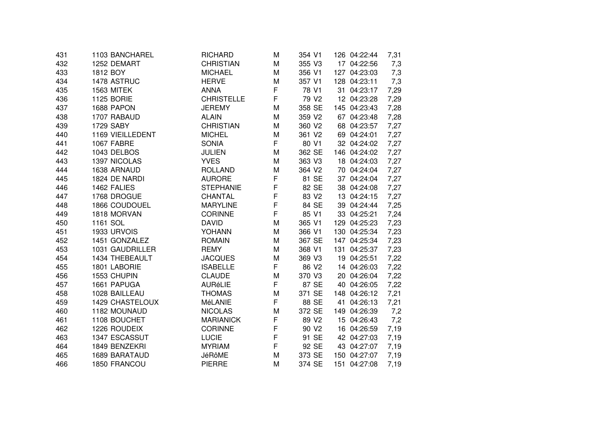| 431 | 1103 BANCHAREL         | <b>RICHARD</b>    | М           | 354 V1            | 126 04:22:44 | 7,31 |
|-----|------------------------|-------------------|-------------|-------------------|--------------|------|
| 432 | 1252 DEMART            | <b>CHRISTIAN</b>  | M           | 355 V3            | 17 04:22:56  | 7,3  |
| 433 | 1812 BOY               | <b>MICHAEL</b>    | M           | 356 V1            | 127 04:23:03 | 7,3  |
| 434 | 1478 ASTRUC            | <b>HERVE</b>      | M           | 357 V1            | 128 04:23:11 | 7,3  |
| 435 | 1563 MITEK             | <b>ANNA</b>       | F           | 78 V1             | 31 04:23:17  | 7,29 |
| 436 | <b>1125 BORIE</b>      | <b>CHRISTELLE</b> | F           | 79 V <sub>2</sub> | 12 04:23:28  | 7,29 |
| 437 | 1688 PAPON             | <b>JEREMY</b>     | M           | 358 SE            | 145 04:23:43 | 7,28 |
| 438 | 1707 RABAUD            | <b>ALAIN</b>      | M           | 359 V2            | 67 04:23:48  | 7,28 |
| 439 | 1729 SABY              | <b>CHRISTIAN</b>  | M           | 360 V2            | 68 04:23:57  | 7,27 |
| 440 | 1169 VIEILLEDENT       | <b>MICHEL</b>     | M           | 361 V2            | 69 04:24:01  | 7,27 |
| 441 | 1067 FABRE             | SONIA             | F           | 80 V1             | 32 04:24:02  | 7,27 |
| 442 | 1043 DELBOS            | <b>JULIEN</b>     | М           | 362 SE            | 146 04:24:02 | 7,27 |
| 443 | 1397 NICOLAS           | <b>YVES</b>       | M           | 363 V3            | 18 04:24:03  | 7,27 |
| 444 | 1638 ARNAUD            | <b>ROLLAND</b>    | M           | 364 V2            | 70 04:24:04  | 7,27 |
| 445 | 1824 DE NARDI          | <b>AURORE</b>     | F           | 81 SE             | 37 04:24:04  | 7,27 |
| 446 | 1462 FALIES            | <b>STEPHANIE</b>  | $\mathsf F$ | 82 SE             | 38 04:24:08  | 7,27 |
| 447 | 1768 DROGUE            | <b>CHANTAL</b>    | F           | 83 V <sub>2</sub> | 13 04:24:15  | 7,27 |
| 448 | 1866 COUDOUEL          | <b>MARYLINE</b>   | F           | 84 SE             | 39 04:24:44  | 7,25 |
| 449 | 1818 MORVAN            | <b>CORINNE</b>    | F           | 85 V1             | 33 04:25:21  | 7,24 |
| 450 | 1161 SOL               | <b>DAVID</b>      | M           | 365 V1            | 129 04:25:23 | 7,23 |
| 451 | 1933 URVOIS            | YOHANN            | M           | 366 V1            | 130 04:25:34 | 7,23 |
| 452 | 1451 GONZALEZ          | <b>ROMAIN</b>     | M           | 367 SE            | 147 04:25:34 | 7,23 |
| 453 | 1031 GAUDRILLER        | <b>REMY</b>       | M           | 368 V1            | 131 04:25:37 | 7,23 |
| 454 | 1434 THEBEAULT         | <b>JACQUES</b>    | M           | 369 V3            | 19 04:25:51  | 7,22 |
| 455 | 1801 LABORIE           | <b>ISABELLE</b>   | F           | 86 V2             | 14 04:26:03  | 7,22 |
| 456 | 1553 CHUPIN            | <b>CLAUDE</b>     | M           | 370 V3            | 20 04:26:04  | 7,22 |
| 457 | 1661 PAPUGA            | <b>AURéLIE</b>    | F           | 87 SE             | 40 04:26:05  | 7,22 |
| 458 | 1028 BAILLEAU          | <b>THOMAS</b>     | M           | 371 SE            | 148 04:26:12 | 7,21 |
| 459 | <b>1429 CHASTELOUX</b> | MéLANIE           | F           | 88 SE             | 41 04:26:13  | 7,21 |
| 460 | 1182 MOUNAUD           | <b>NICOLAS</b>    | M           | 372 SE            | 149 04:26:39 | 7,2  |
| 461 | 1108 BOUCHET           | <b>MARIANICK</b>  | F           | 89 V <sub>2</sub> | 15 04:26:43  | 7,2  |
| 462 | 1226 ROUDEIX           | <b>CORINNE</b>    | F           | 90 V <sub>2</sub> | 16 04:26:59  | 7,19 |
| 463 | 1347 ESCASSUT          | <b>LUCIE</b>      | F           | 91 SE             | 42 04:27:03  | 7,19 |
| 464 | 1849 BENZEKRI          | <b>MYRIAM</b>     | F           | 92 SE             | 43 04:27:07  | 7,19 |
| 465 | 1689 BARATAUD          | <b>JéRôME</b>     | Μ           | 373 SE            | 150 04:27:07 | 7,19 |
| 466 | 1850 FRANCOU           | <b>PIERRE</b>     | Μ           | 374 SE            | 151 04:27:08 | 7,19 |
|     |                        |                   |             |                   |              |      |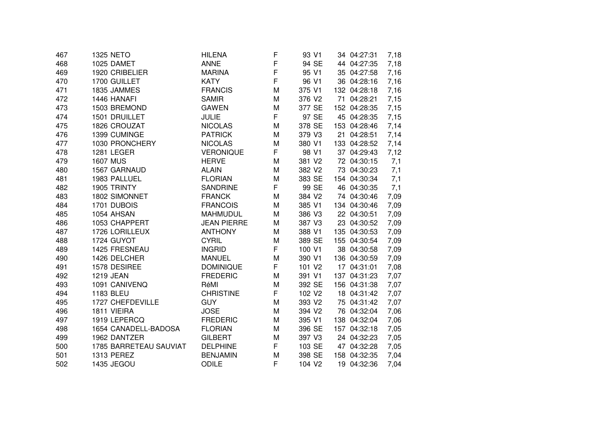| 467 | <b>1325 NETO</b>       | HILENA             | F           | 93 V1              | 34 04:27:31  | 7,18 |
|-----|------------------------|--------------------|-------------|--------------------|--------------|------|
| 468 | 1025 DAMET             | <b>ANNE</b>        | $\mathsf F$ | 94 SE              | 44 04:27:35  | 7,18 |
| 469 | 1920 CRIBELIER         | <b>MARINA</b>      | F           | 95 V1              | 35 04:27:58  | 7,16 |
| 470 | 1700 GUILLET           | <b>KATY</b>        | F           | 96 V1              | 36 04:28:16  | 7,16 |
| 471 | 1835 JAMMES            | <b>FRANCIS</b>     | M           | 375 V1             | 132 04:28:18 | 7,16 |
| 472 | 1446 HANAFI            | <b>SAMIR</b>       | M           | 376 V2             | 71 04:28:21  | 7,15 |
| 473 | 1503 BREMOND           | <b>GAWEN</b>       | M           | 377 SE             | 152 04:28:35 | 7,15 |
| 474 | 1501 DRUILLET          | <b>JULIE</b>       | F           | 97 SE              | 45 04:28:35  | 7,15 |
| 475 | 1826 CROUZAT           | <b>NICOLAS</b>     | M           | 378 SE             | 153 04:28:46 | 7,14 |
| 476 | 1399 CUMINGE           | <b>PATRICK</b>     | M           | 379 V3             | 21 04:28:51  | 7,14 |
| 477 | 1030 PRONCHERY         | <b>NICOLAS</b>     | M           | 380 V1             | 133 04:28:52 | 7,14 |
| 478 | 1281 LEGER             | <b>VERONIQUE</b>   | F           | 98 V1              | 37 04:29:43  | 7,12 |
| 479 | <b>1607 MUS</b>        | <b>HERVE</b>       | M           | 381 V2             | 72 04:30:15  | 7,1  |
| 480 | 1567 GARNAUD           | <b>ALAIN</b>       | M           | 382 V2             | 73 04:30:23  | 7,1  |
| 481 | 1983 PALLUEL           | <b>FLORIAN</b>     | M           | 383 SE             | 154 04:30:34 | 7,1  |
| 482 | 1905 TRINTY            | <b>SANDRINE</b>    | F.          | 99 SE              | 46 04:30:35  | 7,1  |
| 483 | 1802 SIMONNET          | <b>FRANCK</b>      | M           | 384 V2             | 74 04:30:46  | 7,09 |
| 484 | 1701 DUBOIS            | <b>FRANCOIS</b>    | M           | 385 V1             | 134 04:30:46 | 7,09 |
| 485 | 1054 AHSAN             | <b>MAHMUDUL</b>    | M           | 386 V3             | 22 04:30:51  | 7,09 |
| 486 | 1053 CHAPPERT          | <b>JEAN PIERRE</b> | M           | 387 V3             | 23 04:30:52  | 7,09 |
| 487 | 1726 LORILLEUX         | <b>ANTHONY</b>     | M           | 388 V1             | 135 04:30:53 | 7,09 |
| 488 | 1724 GUYOT             | <b>CYRIL</b>       | M           | 389 SE             | 155 04:30:54 | 7,09 |
| 489 | 1425 FRESNEAU          | <b>INGRID</b>      | F           | 100 V1             | 38 04:30:58  | 7,09 |
| 490 | 1426 DELCHER           | <b>MANUEL</b>      | M           | 390 V1             | 136 04:30:59 | 7,09 |
| 491 | 1578 DESIREE           | <b>DOMINIQUE</b>   | F           | 101 V2             | 17 04:31:01  | 7,08 |
| 492 | <b>1219 JEAN</b>       | <b>FREDERIC</b>    | M           | 391 V1             | 137 04:31:23 | 7,07 |
| 493 | 1091 CANIVENQ          | RéMI               | M           | 392 SE             | 156 04:31:38 | 7,07 |
| 494 | 1183 BLEU              | <b>CHRISTINE</b>   | F           | 102 V2             | 18 04:31:42  | 7,07 |
| 495 | 1727 CHEFDEVILLE       | <b>GUY</b>         | M           | 393 V2             | 75 04:31:42  | 7,07 |
| 496 | 1811 VIEIRA            | <b>JOSE</b>        | M           | 394 V2             | 76 04:32:04  | 7,06 |
| 497 | 1919 LEPERCQ           | <b>FREDERIC</b>    | M           | 395 V1             | 138 04:32:04 | 7,06 |
| 498 | 1654 CANADELL-BADOSA   | <b>FLORIAN</b>     | M           | 396 SE             | 157 04:32:18 | 7,05 |
| 499 | 1962 DANTZER           | <b>GILBERT</b>     | M           | 397 V3             | 24 04:32:23  | 7,05 |
| 500 | 1785 BARRETEAU SAUVIAT | <b>DELPHINE</b>    | F           | 103 SE             | 47 04:32:28  | 7,05 |
| 501 | <b>1313 PEREZ</b>      | <b>BENJAMIN</b>    | M           | 398 SE             | 158 04:32:35 | 7,04 |
| 502 | 1435 JEGOU             | <b>ODILE</b>       | F           | 104 V <sub>2</sub> | 19 04:32:36  | 7,04 |
|     |                        |                    |             |                    |              |      |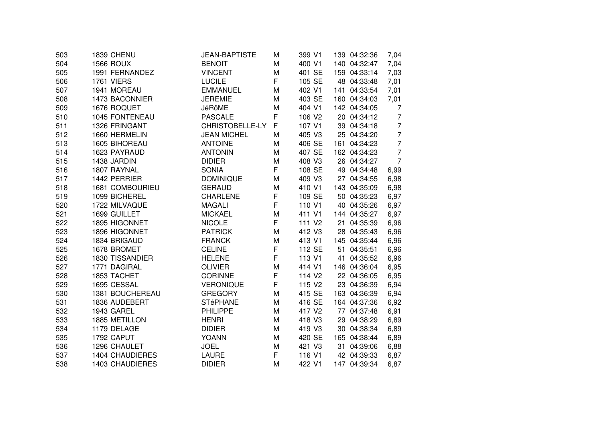| 503 | <b>1839 CHENU</b>      | <b>JEAN-BAPTISTE</b> | Μ | 399 V1             | 139 04:32:36 | 7,04           |
|-----|------------------------|----------------------|---|--------------------|--------------|----------------|
| 504 | <b>1566 ROUX</b>       | <b>BENOIT</b>        | M | 400 V1             | 140 04:32:47 | 7,04           |
| 505 | 1991 FERNANDEZ         | <b>VINCENT</b>       | M | 401 SE             | 159 04:33:14 | 7,03           |
| 506 | 1761 VIERS             | <b>LUCILE</b>        | F | 105 SE             | 48 04:33:48  | 7,01           |
| 507 | 1941 MOREAU            | <b>EMMANUEL</b>      | M | 402 V1             | 141 04:33:54 | 7,01           |
| 508 | 1473 BACONNIER         | <b>JEREMIE</b>       | M | 403 SE             | 160 04:34:03 | 7,01           |
| 509 | 1676 ROQUET            | JéRôME               | M | 404 V1             | 142 04:34:05 | 7              |
| 510 | 1045 FONTENEAU         | <b>PASCALE</b>       | F | 106 V2             | 20 04:34:12  | $\overline{7}$ |
| 511 | 1326 FRINGANT          | CHRISTOBELLE-LY      | F | 107 V1             | 39 04:34:18  | $\overline{7}$ |
| 512 | 1660 HERMELIN          | <b>JEAN MICHEL</b>   | M | 405 V3             | 25 04:34:20  | $\overline{7}$ |
| 513 | 1605 BIHOREAU          | <b>ANTOINE</b>       | М | 406 SE             | 161 04:34:23 | $\overline{7}$ |
| 514 | 1623 PAYRAUD           | <b>ANTONIN</b>       | M | 407 SE             | 162 04:34:23 | $\overline{7}$ |
| 515 | 1438 JARDIN            | <b>DIDIER</b>        | M | 408 V3             | 26 04:34:27  | $\overline{7}$ |
| 516 | 1807 RAYNAL            | <b>SONIA</b>         | F | 108 SE             | 49 04:34:48  | 6,99           |
| 517 | 1442 PERRIER           | <b>DOMINIQUE</b>     | M | 409 V3             | 27 04:34:55  | 6,98           |
| 518 | 1681 COMBOURIEU        | <b>GERAUD</b>        | M | 410 V1             | 143 04:35:09 | 6,98           |
| 519 | 1099 BICHEREL          | <b>CHARLENE</b>      | F | 109 SE             | 50 04:35:23  | 6,97           |
| 520 | 1722 MILVAQUE          | <b>MAGALI</b>        | F | 110 V1             | 40 04:35:26  | 6,97           |
| 521 | 1699 GUILLET           | <b>MICKAEL</b>       | M | 411 V1             | 144 04:35:27 | 6,97           |
| 522 | 1895 HIGONNET          | <b>NICOLE</b>        | F | 111 V <sub>2</sub> | 21 04:35:39  | 6,96           |
| 523 | 1896 HIGONNET          | <b>PATRICK</b>       | M | 412 V3             | 28 04:35:43  | 6,96           |
| 524 | 1834 BRIGAUD           | <b>FRANCK</b>        | M | 413 V1             | 145 04:35:44 | 6,96           |
| 525 | 1678 BROMET            | <b>CELINE</b>        | F | 112 SE             | 51 04:35:51  | 6,96           |
| 526 | 1830 TISSANDIER        | <b>HELENE</b>        | F | 113 V1             | 41 04:35:52  | 6,96           |
| 527 | 1771 DAGIRAL           | <b>OLIVIER</b>       | M | 414 V1             | 146 04:36:04 | 6,95           |
| 528 | 1853 TACHET            | <b>CORINNE</b>       | F | 114 V <sub>2</sub> | 22 04:36:05  | 6,95           |
| 529 | 1695 CESSAL            | <b>VERONIQUE</b>     | F | 115 V <sub>2</sub> | 23 04:36:39  | 6,94           |
| 530 | 1381 BOUCHEREAU        | <b>GREGORY</b>       | M | 415 SE             | 163 04:36:39 | 6,94           |
| 531 | 1836 AUDEBERT          | <b>STéPHANE</b>      | M | 416 SE             | 164 04:37:36 | 6,92           |
| 532 | 1943 GAREL             | <b>PHILIPPE</b>      | M | 417 V2             | 77 04:37:48  | 6,91           |
| 533 | 1885 METILLON          | <b>HENRI</b>         | M | 418 V3             | 29 04:38:29  | 6,89           |
| 534 | 1179 DELAGE            | <b>DIDIER</b>        | M | 419 V3             | 30 04:38:34  | 6,89           |
| 535 | 1792 CAPUT             | <b>YOANN</b>         | M | 420 SE             | 165 04:38:44 | 6,89           |
| 536 | 1296 CHAULET           | <b>JOEL</b>          | M | 421 V3             | 31 04:39:06  | 6,88           |
| 537 | <b>1404 CHAUDIERES</b> | <b>LAURE</b>         | F | 116 V1             | 42 04:39:33  | 6,87           |
| 538 | <b>1403 CHAUDIERES</b> | <b>DIDIER</b>        | M | 422 V1             | 147 04:39:34 | 6,87           |
|     |                        |                      |   |                    |              |                |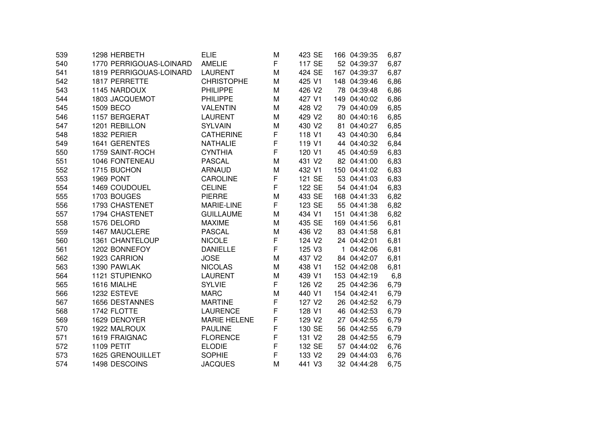| 539 | 1298 HERBETH            | <b>ELIE</b>         | M | 423 SE             | 166 04:39:35 | 6,87 |
|-----|-------------------------|---------------------|---|--------------------|--------------|------|
| 540 | 1770 PERRIGOUAS-LOINARD | <b>AMELIE</b>       | F | 117 SE             | 52 04:39:37  | 6,87 |
| 541 | 1819 PERRIGOUAS-LOINARD | <b>LAURENT</b>      | M | 424 SE             | 167 04:39:37 | 6,87 |
| 542 | 1817 PERRETTE           | <b>CHRISTOPHE</b>   | M | 425 V1             | 148 04:39:46 | 6,86 |
| 543 | 1145 NARDOUX            | <b>PHILIPPE</b>     | M | 426 V2             | 78 04:39:48  | 6,86 |
| 544 | 1803 JACQUEMOT          | <b>PHILIPPE</b>     | M | 427 V1             | 149 04:40:02 | 6,86 |
| 545 | 1509 BECO               | <b>VALENTIN</b>     | M | 428 V2             | 79 04:40:09  | 6,85 |
| 546 | 1157 BERGERAT           | <b>LAURENT</b>      | M | 429 V2             | 80 04:40:16  | 6,85 |
| 547 | 1201 REBILLON           | <b>SYLVAIN</b>      | м | 430 V2             | 81 04:40:27  | 6,85 |
| 548 | 1832 PERIER             | <b>CATHERINE</b>    | F | 118 V1             | 43 04:40:30  | 6,84 |
| 549 | 1641 GERENTES           | <b>NATHALIE</b>     | F | 119 V1             | 44 04:40:32  | 6,84 |
| 550 | 1759 SAINT-ROCH         | <b>CYNTHIA</b>      | F | 120 V1             | 45 04:40:59  | 6,83 |
| 551 | 1046 FONTENEAU          | <b>PASCAL</b>       | M | 431 V2             | 82 04:41:00  | 6,83 |
| 552 | 1715 BUCHON             | <b>ARNAUD</b>       | M | 432 V1             | 150 04:41:02 | 6,83 |
| 553 | <b>1969 PONT</b>        | <b>CAROLINE</b>     | F | 121 SE             | 53 04:41:03  | 6,83 |
| 554 | 1469 COUDOUEL           | <b>CELINE</b>       | F | 122 SE             | 54 04:41:04  | 6,83 |
| 555 | 1703 BOUGES             | <b>PIERRE</b>       | M | 433 SE             | 168 04:41:33 | 6,82 |
| 556 | 1793 CHASTENET          | MARIE-LINE          | F | 123 SE             | 55 04:41:38  | 6,82 |
| 557 | 1794 CHASTENET          | <b>GUILLAUME</b>    | M | 434 V1             | 151 04:41:38 | 6,82 |
| 558 | 1576 DELORD             | <b>MAXIME</b>       | M | 435 SE             | 169 04:41:56 | 6,81 |
| 559 | 1467 MAUCLERE           | <b>PASCAL</b>       | M | 436 V2             | 83 04:41:58  | 6,81 |
| 560 | 1361 CHANTELOUP         | <b>NICOLE</b>       | F | 124 V <sub>2</sub> | 24 04:42:01  | 6,81 |
| 561 | 1202 BONNEFOY           | <b>DANIELLE</b>     | F | 125 V3             | 1 04:42:06   | 6,81 |
| 562 | 1923 CARRION            | <b>JOSE</b>         | M | 437 V2             | 84 04:42:07  | 6,81 |
| 563 | 1390 PAWLAK             | <b>NICOLAS</b>      | M | 438 V1             | 152 04:42:08 | 6,81 |
| 564 | 1121 STUPIENKO          | <b>LAURENT</b>      | M | 439 V1             | 153 04:42:19 | 6,8  |
| 565 | 1616 MIALHE             | <b>SYLVIE</b>       | F | 126 V2             | 25 04:42:36  | 6,79 |
| 566 | 1232 ESTEVE             | <b>MARC</b>         | M | 440 V1             | 154 04:42:41 | 6,79 |
| 567 | 1656 DESTANNES          | <b>MARTINE</b>      | F | 127 V2             | 26 04:42:52  | 6,79 |
| 568 | 1742 FLOTTE             | <b>LAURENCE</b>     | F | 128 V1             | 46 04:42:53  | 6,79 |
| 569 | 1629 DENOYER            | <b>MARIE HELENE</b> | F | 129 V <sub>2</sub> | 27 04:42:55  | 6,79 |
| 570 | 1922 MALROUX            | <b>PAULINE</b>      | F | 130 SE             | 56 04:42:55  | 6,79 |
| 571 | 1619 FRAIGNAC           | <b>FLORENCE</b>     | F | 131 V <sub>2</sub> | 28 04:42:55  | 6,79 |
| 572 | 1109 PETIT              | <b>ELODIE</b>       | F | 132 SE             | 57 04:44:02  | 6,76 |
| 573 | 1625 GRENOUILLET        | <b>SOPHIE</b>       | F | 133 V2             | 29 04:44:03  | 6,76 |
| 574 | 1498 DESCOINS           | <b>JACQUES</b>      | Μ | 441 V3             | 32 04:44:28  | 6,75 |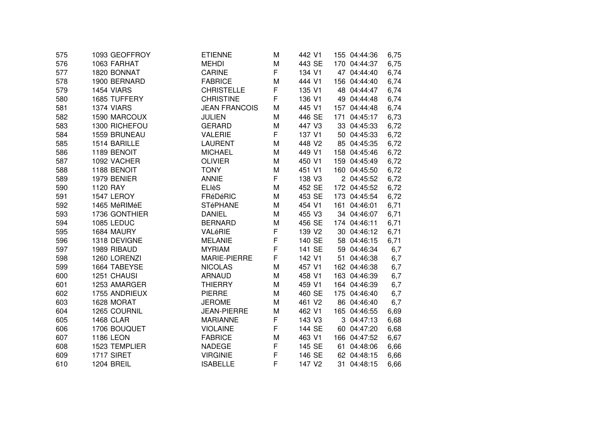| 575 | 1093 GEOFFROY     | <b>ETIENNE</b>       | M           | 442 V1             | 155 04:44:36 | 6,75 |
|-----|-------------------|----------------------|-------------|--------------------|--------------|------|
| 576 | 1063 FARHAT       | <b>MEHDI</b>         | M           | 443 SE             | 170 04:44:37 | 6,75 |
| 577 | 1820 BONNAT       | <b>CARINE</b>        | F           | 134 V1             | 47 04:44:40  | 6,74 |
| 578 | 1900 BERNARD      | <b>FABRICE</b>       | M           | 444 V1             | 156 04:44:40 | 6,74 |
| 579 | 1454 VIARS        | <b>CHRISTELLE</b>    | F           | 135 V1             | 48 04:44:47  | 6,74 |
| 580 | 1685 TUFFERY      | <b>CHRISTINE</b>     | F           | 136 V1             | 49 04:44:48  | 6,74 |
| 581 | 1374 VIARS        | <b>JEAN FRANCOIS</b> | Μ           | 445 V1             | 157 04:44:48 | 6,74 |
| 582 | 1590 MARCOUX      | <b>JULIEN</b>        | M           | 446 SE             | 171 04:45:17 | 6,73 |
| 583 | 1300 RICHEFOU     | <b>GERARD</b>        | M           | 447 V3             | 33 04:45:33  | 6,72 |
| 584 | 1559 BRUNEAU      | <b>VALERIE</b>       | F           | 137 V1             | 50 04:45:33  | 6,72 |
| 585 | 1514 BARILLE      | <b>LAURENT</b>       | Μ           | 448 V2             | 85 04:45:35  | 6,72 |
| 586 | 1189 BENOIT       | <b>MICHAEL</b>       | M           | 449 V1             | 158 04:45:46 | 6,72 |
| 587 | 1092 VACHER       | <b>OLIVIER</b>       | M           | 450 V1             | 159 04:45:49 | 6,72 |
| 588 | 1188 BENOIT       | <b>TONY</b>          | M           | 451 V1             | 160 04:45:50 | 6,72 |
| 589 | 1979 BENIER       | <b>ANNIE</b>         | F           | 138 V3             | 2 04:45:52   | 6,72 |
| 590 | 1120 RAY          | <b>ELIèS</b>         | M           | 452 SE             | 172 04:45:52 | 6,72 |
| 591 | 1547 LEROY        | FRéDéRIC             | M           | 453 SE             | 173 04:45:54 | 6,72 |
| 592 | 1465 MéRIMéE      | <b>STéPHANE</b>      | M           | 454 V1             | 161 04:46:01 | 6,71 |
| 593 | 1736 GONTHIER     | <b>DANIEL</b>        | M           | 455 V3             | 34 04:46:07  | 6,71 |
| 594 | 1085 LEDUC        | <b>BERNARD</b>       | Μ           | 456 SE             | 174 04:46:11 | 6,71 |
| 595 | 1684 MAURY        | VALéRIE              | F           | 139 V2             | 30 04:46:12  | 6,71 |
| 596 | 1318 DEVIGNE      | <b>MELANIE</b>       | F           | 140 SE             | 58 04:46:15  | 6,71 |
| 597 | 1989 RIBAUD       | <b>MYRIAM</b>        | $\mathsf F$ | 141 SE             | 59 04:46:34  | 6,7  |
| 598 | 1260 LORENZI      | <b>MARIE-PIERRE</b>  | F           | 142 V1             | 51 04:46:38  | 6,7  |
| 599 | 1664 TABEYSE      | <b>NICOLAS</b>       | M           | 457 V1             | 162 04:46:38 | 6,7  |
| 600 | 1251 CHAUSI       | <b>ARNAUD</b>        | M           | 458 V1             | 163 04:46:39 | 6,7  |
| 601 | 1253 AMARGER      | <b>THIERRY</b>       | M           | 459 V1             | 164 04:46:39 | 6,7  |
| 602 | 1755 ANDRIEUX     | <b>PIERRE</b>        | M           | 460 SE             | 175 04:46:40 | 6,7  |
| 603 | 1628 MORAT        | <b>JEROME</b>        | M           | 461 V2             | 86 04:46:40  | 6,7  |
| 604 | 1265 COURNIL      | <b>JEAN-PIERRE</b>   | M           | 462 V1             | 165 04:46:55 | 6,69 |
| 605 | <b>1468 CLAR</b>  | <b>MARIANNE</b>      | F           | 143 V3             | 3 04:47:13   | 6,68 |
| 606 | 1706 BOUQUET      | <b>VIOLAINE</b>      | F           | 144 SE             | 60 04:47:20  | 6,68 |
| 607 | <b>1186 LEON</b>  | <b>FABRICE</b>       | M           | 463 V1             | 166 04:47:52 | 6,67 |
| 608 | 1523 TEMPLIER     | <b>NADEGE</b>        | F           | 145 SE             | 61 04:48:06  | 6,66 |
| 609 | 1717 SIRET        | <b>VIRGINIE</b>      | F           | 146 SE             | 62 04:48:15  | 6,66 |
| 610 | <b>1204 BREIL</b> | <b>ISABELLE</b>      | F           | 147 V <sub>2</sub> | 31 04:48:15  | 6,66 |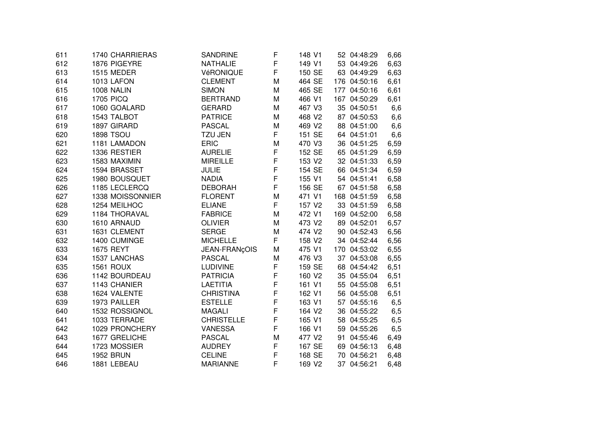| 611 | 1740 CHARRIERAS   | SANDRINE          | F           | 148 V1             | 52 04:48:29  | 6,66 |
|-----|-------------------|-------------------|-------------|--------------------|--------------|------|
| 612 | 1876 PIGEYRE      | <b>NATHALIE</b>   | F           | 149 V1             | 53 04:49:26  | 6,63 |
| 613 | 1515 MEDER        | VéRONIQUE         | F           | 150 SE             | 63 04:49:29  | 6,63 |
| 614 | 1013 LAFON        | <b>CLEMENT</b>    | M           | 464 SE             | 176 04:50:16 | 6,61 |
| 615 | <b>1008 NALIN</b> | <b>SIMON</b>      | M           | 465 SE             | 177 04:50:16 | 6,61 |
| 616 | <b>1705 PICQ</b>  | <b>BERTRAND</b>   | M           | 466 V1             | 167 04:50:29 | 6,61 |
| 617 | 1060 GOALARD      | <b>GERARD</b>     | M           | 467 V3             | 35 04:50:51  | 6,6  |
| 618 | 1543 TALBOT       | <b>PATRICE</b>    | M           | 468 V2             | 87 04:50:53  | 6,6  |
| 619 | 1897 GIRARD       | <b>PASCAL</b>     | M           | 469 V2             | 88 04:51:00  | 6,6  |
| 620 | <b>1898 TSOU</b>  | <b>TZU JEN</b>    | F           | 151 SE             | 64 04:51:01  | 6,6  |
| 621 | 1181 LAMADON      | <b>ERIC</b>       | M           | 470 V3             | 36 04:51:25  | 6,59 |
| 622 | 1336 RESTIER      | <b>AURELIE</b>    | F           | 152 SE             | 65 04:51:29  | 6,59 |
| 623 | 1583 MAXIMIN      | <b>MIREILLE</b>   | F           | 153 V <sub>2</sub> | 32 04:51:33  | 6,59 |
| 624 | 1594 BRASSET      | <b>JULIE</b>      | F           | 154 SE             | 66 04:51:34  | 6,59 |
| 625 | 1980 BOUSQUET     | <b>NADIA</b>      | F           | 155 V1             | 54 04:51:41  | 6,58 |
| 626 | 1185 LECLERCQ     | <b>DEBORAH</b>    | F           | 156 SE             | 67 04:51:58  | 6,58 |
| 627 | 1338 MOISSONNIER  | <b>FLORENT</b>    | M           | 471 V1             | 168 04:51:59 | 6,58 |
| 628 | 1254 MEILHOC      | <b>ELIANE</b>     | F           | 157 V2             | 33 04:51:59  | 6,58 |
| 629 | 1184 THORAVAL     | <b>FABRICE</b>    | M           | 472 V1             | 169 04:52:00 | 6,58 |
| 630 | 1610 ARNAUD       | <b>OLIVIER</b>    | M           | 473 V2             | 89 04:52:01  | 6,57 |
| 631 | 1631 CLEMENT      | <b>SERGE</b>      | M           | 474 V2             | 90 04:52:43  | 6,56 |
| 632 | 1400 CUMINGE      | <b>MICHELLE</b>   | F           | 158 V2             | 34 04:52:44  | 6,56 |
| 633 | 1675 REYT         | JEAN-FRANçOIS     | M           | 475 V1             | 170 04:53:02 | 6,55 |
| 634 | 1537 LANCHAS      | <b>PASCAL</b>     | M           | 476 V3             | 37 04:53:08  | 6,55 |
| 635 | <b>1561 ROUX</b>  | <b>LUDIVINE</b>   | F           | 159 SE             | 68 04:54:42  | 6,51 |
| 636 | 1142 BOURDEAU     | <b>PATRICIA</b>   | F           | 160 V2             | 35 04:55:04  | 6,51 |
| 637 | 1143 CHANIER      | <b>LAETITIA</b>   | F           | 161 V1             | 55 04:55:08  | 6,51 |
| 638 | 1624 VALENTE      | <b>CHRISTINA</b>  | $\mathsf F$ | 162 V1             | 56 04:55:08  | 6,51 |
| 639 | 1973 PAILLER      | <b>ESTELLE</b>    | F           | 163 V1             | 57 04:55:16  | 6,5  |
| 640 | 1532 ROSSIGNOL    | <b>MAGALI</b>     | $\mathsf F$ | 164 V2             | 36 04:55:22  | 6,5  |
| 641 | 1033 TERRADE      | <b>CHRISTELLE</b> | F           | 165 V1             | 58 04:55:25  | 6,5  |
| 642 | 1029 PRONCHERY    | <b>VANESSA</b>    | F           | 166 V1             | 59 04:55:26  | 6,5  |
| 643 | 1677 GRELICHE     | <b>PASCAL</b>     | M           | 477 V2             | 91 04:55:46  | 6,49 |
| 644 | 1723 MOSSIER      | <b>AUDREY</b>     | F           | 167 SE             | 69 04:56:13  | 6,48 |
| 645 | <b>1952 BRUN</b>  | <b>CELINE</b>     | F           | 168 SE             | 70 04:56:21  | 6,48 |
| 646 | 1881 LEBEAU       | <b>MARIANNE</b>   | F           | 169 V <sub>2</sub> | 37 04:56:21  | 6,48 |
|     |                   |                   |             |                    |              |      |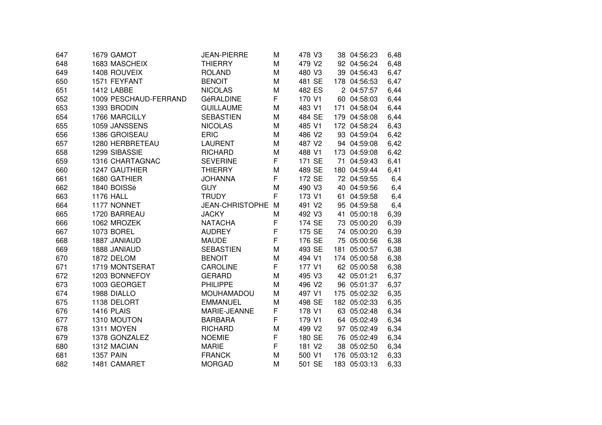| 647 | 1679 GAMOT            | <b>JEAN-PIERRE</b>     | М | 478 V3 | 38 04:56:23  | 6,48 |
|-----|-----------------------|------------------------|---|--------|--------------|------|
| 648 | 1683 MASCHEIX         | <b>THIERRY</b>         | M | 479 V2 | 92 04:56:24  | 6,48 |
| 649 | 1408 ROUVEIX          | <b>ROLAND</b>          | M | 480 V3 | 39 04:56:43  | 6,47 |
| 650 | 1571 FEYFANT          | <b>BENOIT</b>          | M | 481 SE | 178 04:56:53 | 6,47 |
| 651 | 1412 LABBE            | <b>NICOLAS</b>         | M | 482 ES | 2 04:57:57   | 6,44 |
| 652 | 1009 PESCHAUD-FERRAND | GéRALDINE              | F | 170 V1 | 60 04:58:03  | 6,44 |
| 653 | 1393 BRODIN           | <b>GUILLAUME</b>       | M | 483 V1 | 171 04:58:04 | 6,44 |
| 654 | 1766 MARCILLY         | <b>SEBASTIEN</b>       | M | 484 SE | 179 04:58:08 | 6,44 |
| 655 | 1059 JANSSENS         | <b>NICOLAS</b>         | M | 485 V1 | 172 04:58:24 | 6,43 |
| 656 | 1386 GROISEAU         | <b>ERIC</b>            | М | 486 V2 | 93 04:59:04  | 6,42 |
| 657 | 1280 HERBRETEAU       | <b>LAURENT</b>         | M | 487 V2 | 94 04:59:08  | 6,42 |
| 658 | 1299 SIBASSIE         | <b>RICHARD</b>         | M | 488 V1 | 173 04:59:08 | 6,42 |
| 659 | 1316 CHARTAGNAC       | <b>SEVERINE</b>        | F | 171 SE | 71 04:59:43  | 6,41 |
| 660 | 1247 GAUTHIER         | <b>THIERRY</b>         | M | 489 SE | 180 04:59:44 | 6,41 |
| 661 | 1680 GATHIER          | <b>JOHANNA</b>         | F | 172 SE | 72 04:59:55  | 6,4  |
| 662 | 1840 BOISSé           | <b>GUY</b>             | M | 490 V3 | 40 04:59:56  | 6,4  |
| 663 | <b>1176 HALL</b>      | <b>TRUDY</b>           | F | 173 V1 | 61 04:59:58  | 6,4  |
| 664 | 1177 NONNET           | <b>JEAN-CHRISTOPHE</b> | M | 491 V2 | 95 04:59:58  | 6,4  |
| 665 | 1720 BARREAU          | <b>JACKY</b>           | M | 492 V3 | 41 05:00:18  | 6,39 |
| 666 | 1062 MROZEK           | <b>NATACHA</b>         | F | 174 SE | 73 05:00:20  | 6,39 |
| 667 | 1073 BOREL            | <b>AUDREY</b>          | F | 175 SE | 74 05:00:20  | 6,39 |
| 668 | 1887 JANIAUD          | <b>MAUDE</b>           | F | 176 SE | 75 05:00:56  | 6,38 |
| 669 | 1888 JANIAUD          | <b>SEBASTIEN</b>       | M | 493 SE | 181 05:00:57 | 6,38 |
| 670 | 1872 DELOM            | <b>BENOIT</b>          | M | 494 V1 | 174 05:00:58 | 6,38 |
| 671 | 1719 MONTSERAT        | <b>CAROLINE</b>        | F | 177 V1 | 62 05:00:58  | 6,38 |
| 672 | 1203 BONNEFOY         | <b>GERARD</b>          | M | 495 V3 | 42 05:01:21  | 6,37 |
| 673 | 1003 GEORGET          | <b>PHILIPPE</b>        | M | 496 V2 | 96 05:01:37  | 6,37 |
| 674 | 1988 DIALLO           | <b>MOUHAMADOU</b>      | M | 497 V1 | 175 05:02:32 | 6,35 |
| 675 | 1138 DELORT           | <b>EMMANUEL</b>        | M | 498 SE | 182 05:02:33 | 6,35 |
| 676 | <b>1416 PLAIS</b>     | MARIE-JEANNE           | F | 178 V1 | 63 05:02:48  | 6,34 |
| 677 | 1310 MOUTON           | <b>BARBARA</b>         | F | 179 V1 | 64 05:02:49  | 6,34 |
| 678 | 1311 MOYEN            | <b>RICHARD</b>         | M | 499 V2 | 97 05:02:49  | 6,34 |
| 679 | 1378 GONZALEZ         | <b>NOEMIE</b>          | F | 180 SE | 76 05:02:49  | 6,34 |
| 680 | 1312 MACIAN           | <b>MARIE</b>           | F | 181 V2 | 38 05:02:50  | 6,34 |
| 681 | <b>1357 PAIN</b>      | <b>FRANCK</b>          | M | 500 V1 | 176 05:03:12 | 6,33 |
| 682 | 1481 CAMARET          | <b>MORGAD</b>          | M | 501 SE | 183 05:03:13 | 6,33 |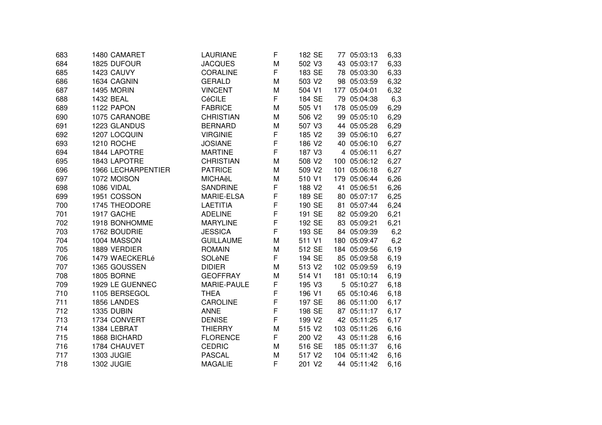| 683 | 1480 CAMARET       | LAURIANE         | F           | 182 SE             | 77 05:03:13  | 6,33 |
|-----|--------------------|------------------|-------------|--------------------|--------------|------|
| 684 | 1825 DUFOUR        | <b>JACQUES</b>   | M           | 502 V3             | 43 05:03:17  | 6,33 |
| 685 | 1423 CAUVY         | <b>CORALINE</b>  | F           | 183 SE             | 78 05:03:30  | 6,33 |
| 686 | 1634 CAGNIN        | <b>GERALD</b>    | M           | 503 V2             | 98 05:03:59  | 6,32 |
| 687 | 1495 MORIN         | <b>VINCENT</b>   | M           | 504 V1             | 177 05:04:01 | 6,32 |
| 688 | 1432 BEAL          | <b>CéCILE</b>    | F.          | 184 SE             | 79 05:04:38  | 6,3  |
| 689 | 1122 PAPON         | <b>FABRICE</b>   | M           | 505 V1             | 178 05:05:09 | 6,29 |
| 690 | 1075 CARANOBE      | <b>CHRISTIAN</b> | M           | 506 V2             | 99 05:05:10  | 6,29 |
| 691 | 1223 GLANDUS       | <b>BERNARD</b>   | M           | 507 V3             | 44 05:05:28  | 6,29 |
| 692 | 1207 LOCQUIN       | <b>VIRGINIE</b>  | F           | 185 V2             | 39 05:06:10  | 6,27 |
| 693 | 1210 ROCHE         | <b>JOSIANE</b>   | F           | 186 V2             | 40 05:06:10  | 6,27 |
| 694 | 1844 LAPOTRE       | <b>MARTINE</b>   | F           | 187 V3             | 4 05:06:11   | 6,27 |
| 695 | 1843 LAPOTRE       | <b>CHRISTIAN</b> | M           | 508 V2             | 100 05:06:12 | 6,27 |
| 696 | 1966 LECHARPENTIER | <b>PATRICE</b>   | M           | 509 V2             | 101 05:06:18 | 6,27 |
| 697 | 1072 MOISON        | <b>MICHAëL</b>   | М           | 510 V1             | 179 05:06:44 | 6,26 |
| 698 | 1086 VIDAL         | <b>SANDRINE</b>  | F           | 188 V2             | 41 05:06:51  | 6,26 |
| 699 | 1951 COSSON        | MARIE-ELSA       | $\mathsf F$ | 189 SE             | 80 05:07:17  | 6,25 |
| 700 | 1745 THEODORE      | <b>LAETITIA</b>  | $\mathsf F$ | 190 SE             | 81 05:07:44  | 6,24 |
| 701 | 1917 GACHE         | <b>ADELINE</b>   | F           | 191 SE             | 82 05:09:20  | 6,21 |
| 702 | 1918 BONHOMME      | <b>MARYLINE</b>  | $\mathsf F$ | 192 SE             | 83 05:09:21  | 6,21 |
| 703 | 1762 BOUDRIE       | <b>JESSICA</b>   | F           | 193 SE             | 84 05:09:39  | 6,2  |
| 704 | 1004 MASSON        | <b>GUILLAUME</b> | M           | 511 V1             | 180 05:09:47 | 6,2  |
| 705 | 1889 VERDIER       | <b>ROMAIN</b>    | M           | 512 SE             | 184 05:09:56 | 6,19 |
| 706 | 1479 WAECKERLé     | SOLèNE           | F.          | 194 SE             | 85 05:09:58  | 6,19 |
| 707 | 1365 GOUSSEN       | <b>DIDIER</b>    | M           | 513 V2             | 102 05:09:59 | 6,19 |
| 708 | 1805 BORNE         | <b>GEOFFRAY</b>  | M           | 514 V1             | 181 05:10:14 | 6,19 |
| 709 | 1929 LE GUENNEC    | MARIE-PAULE      | $\mathsf F$ | 195 V3             | 5 05:10:27   | 6,18 |
| 710 | 1105 BERSEGOL      | <b>THEA</b>      | $\mathsf F$ | 196 V1             | 65 05:10:46  | 6,18 |
| 711 | 1856 LANDES        | <b>CAROLINE</b>  | $\mathsf F$ | 197 SE             | 86 05:11:00  | 6,17 |
| 712 | 1335 DUBIN         | <b>ANNE</b>      | $\mathsf F$ | 198 SE             | 87 05:11:17  | 6,17 |
| 713 | 1734 CONVERT       | <b>DENISE</b>    | F           | 199 V <sub>2</sub> | 42 05:11:25  | 6,17 |
| 714 | 1384 LEBRAT        | <b>THIERRY</b>   | M           | 515 V2             | 103 05:11:26 | 6,16 |
| 715 | 1868 BICHARD       | <b>FLORENCE</b>  | F           | 200 V2             | 43 05:11:28  | 6,16 |
| 716 | 1784 CHAUVET       | <b>CEDRIC</b>    | M           | 516 SE             | 185 05:11:37 | 6,16 |
| 717 | <b>1303 JUGIE</b>  | <b>PASCAL</b>    | M           | 517 V <sub>2</sub> | 104 05:11:42 | 6,16 |
| 718 | <b>1302 JUGIE</b>  | <b>MAGALIE</b>   | F           | 201 V2             | 44 05:11:42  | 6,16 |
|     |                    |                  |             |                    |              |      |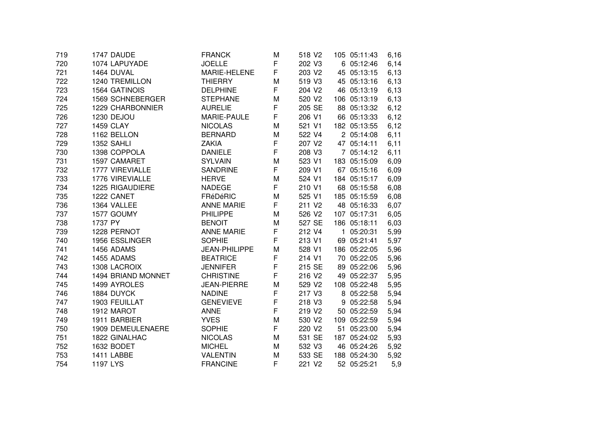| 719 | 1747 DAUDE         | <b>FRANCK</b>      | М | 518 V <sub>2</sub> | 105 05:11:43 | 6,16  |
|-----|--------------------|--------------------|---|--------------------|--------------|-------|
| 720 | 1074 LAPUYADE      | <b>JOELLE</b>      | F | 202 V3             | 6 05:12:46   | 6,14  |
| 721 | 1464 DUVAL         | MARIE-HELENE       | F | 203 V2             | 45 05:13:15  | 6,13  |
| 722 | 1240 TREMILLON     | <b>THIERRY</b>     | M | 519 V3             | 45 05:13:16  | 6,13  |
| 723 | 1564 GATINOIS      | <b>DELPHINE</b>    | F | 204 V2             | 46 05:13:19  | 6, 13 |
| 724 | 1569 SCHNEBERGER   | <b>STEPHANE</b>    | M | 520 V2             | 106 05:13:19 | 6,13  |
| 725 | 1229 CHARBONNIER   | <b>AURELIE</b>     | F | 205 SE             | 88 05:13:32  | 6,12  |
| 726 | 1230 DEJOU         | MARIE-PAULE        | F | 206 V1             | 66 05:13:33  | 6,12  |
| 727 | <b>1459 CLAY</b>   | <b>NICOLAS</b>     | M | 521 V1             | 182 05:13:55 | 6,12  |
| 728 | 1162 BELLON        | <b>BERNARD</b>     | M | 522 V4             | 2 05:14:08   | 6,11  |
| 729 | 1352 SAHLI         | <b>ZAKIA</b>       | F | 207 V2             | 47 05:14:11  | 6,11  |
| 730 | 1398 COPPOLA       | <b>DANIELE</b>     | F | 208 V3             | 7 05:14:12   | 6,11  |
| 731 | 1597 CAMARET       | <b>SYLVAIN</b>     | M | 523 V1             | 183 05:15:09 | 6,09  |
| 732 | 1777 VIREVIALLE    | SANDRINE           | F | 209 V1             | 67 05:15:16  | 6,09  |
| 733 | 1776 VIREVIALLE    | <b>HERVE</b>       | M | 524 V1             | 184 05:15:17 | 6,09  |
| 734 | 1225 RIGAUDIERE    | <b>NADEGE</b>      | F | 210 V1             | 68 05:15:58  | 6,08  |
| 735 | 1222 CANET         | FRéDéRIC           | M | 525 V1             | 185 05:15:59 | 6,08  |
| 736 | 1364 VALLEE        | <b>ANNE MARIE</b>  | F | 211 V <sub>2</sub> | 48 05:16:33  | 6,07  |
| 737 | 1577 GOUMY         | PHILIPPE           | M | 526 V2             | 107 05:17:31 | 6,05  |
| 738 | 1737 PY            | <b>BENOIT</b>      | M | 527 SE             | 186 05:18:11 | 6,03  |
| 739 | 1228 PERNOT        | <b>ANNE MARIE</b>  | F | 212 V4             | 1 05:20:31   | 5,99  |
| 740 | 1956 ESSLINGER     | <b>SOPHIE</b>      | F | 213 V1             | 69 05:21:41  | 5,97  |
| 741 | 1456 ADAMS         | JEAN-PHILIPPE      | M | 528 V1             | 186 05:22:05 | 5,96  |
| 742 | 1455 ADAMS         | <b>BEATRICE</b>    | F | 214 V1             | 70 05:22:05  | 5,96  |
| 743 | 1308 LACROIX       | <b>JENNIFER</b>    | F | 215 SE             | 89 05:22:06  | 5,96  |
| 744 | 1494 BRIAND MONNET | <b>CHRISTINE</b>   | F | 216 V <sub>2</sub> | 49 05:22:37  | 5,95  |
| 745 | 1499 AYROLES       | <b>JEAN-PIERRE</b> | M | 529 V2             | 108 05:22:48 | 5,95  |
| 746 | 1884 DUYCK         | <b>NADINE</b>      | F | 217 V3             | 8 05:22:58   | 5,94  |
| 747 | 1903 FEUILLAT      | <b>GENEVIEVE</b>   | F | 218 V3             | 9 05:22:58   | 5,94  |
| 748 | 1912 MAROT         | <b>ANNE</b>        | F | 219 V2             | 50 05:22:59  | 5,94  |
| 749 | 1911 BARBIER       | <b>YVES</b>        | M | 530 V2             | 109 05:22:59 | 5,94  |
| 750 | 1909 DEMEULENAERE  | <b>SOPHIE</b>      | F | 220 V2             | 51 05:23:00  | 5,94  |
| 751 | 1822 GINALHAC      | <b>NICOLAS</b>     | M | 531 SE             | 187 05:24:02 | 5,93  |
| 752 | 1632 BODET         | <b>MICHEL</b>      | М | 532 V3             | 46 05:24:26  | 5,92  |
| 753 | 1411 LABBE         | <b>VALENTIN</b>    | М | 533 SE             | 188 05:24:30 | 5,92  |
| 754 | 1197 LYS           | <b>FRANCINE</b>    | F | 221 V2             | 52 05:25:21  | 5,9   |
|     |                    |                    |   |                    |              |       |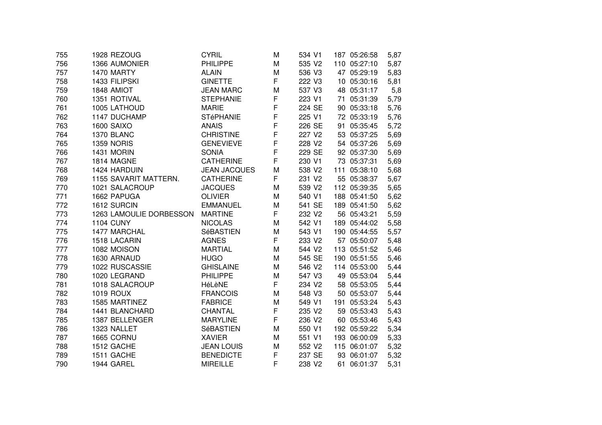|                       |                               |                                                                                 |                                      |                  | 5,87                                                                                                                                                                                                                                                                                                                                                                                                                                                                                                                                                    |
|-----------------------|-------------------------------|---------------------------------------------------------------------------------|--------------------------------------|------------------|---------------------------------------------------------------------------------------------------------------------------------------------------------------------------------------------------------------------------------------------------------------------------------------------------------------------------------------------------------------------------------------------------------------------------------------------------------------------------------------------------------------------------------------------------------|
| 1366 AUMONIER         | <b>PHILIPPE</b>               | M                                                                               | 535 V2                               |                  | 5,87                                                                                                                                                                                                                                                                                                                                                                                                                                                                                                                                                    |
| 1470 MARTY            | <b>ALAIN</b>                  | M                                                                               | 536 V3                               |                  | 5,83                                                                                                                                                                                                                                                                                                                                                                                                                                                                                                                                                    |
| 1433 FILIPSKI         | <b>GINETTE</b>                |                                                                                 | 222 V3                               |                  | 5,81                                                                                                                                                                                                                                                                                                                                                                                                                                                                                                                                                    |
| 1848 AMIOT            | <b>JEAN MARC</b>              | M                                                                               | 537 V3                               |                  | 5,8                                                                                                                                                                                                                                                                                                                                                                                                                                                                                                                                                     |
| 1351 ROTIVAL          | <b>STEPHANIE</b>              | F                                                                               | 223 V1                               |                  | 5,79                                                                                                                                                                                                                                                                                                                                                                                                                                                                                                                                                    |
| 1005 LATHOUD          | <b>MARIE</b>                  |                                                                                 | 224 SE                               |                  | 5,76                                                                                                                                                                                                                                                                                                                                                                                                                                                                                                                                                    |
| 1147 DUCHAMP          | <b>STéPHANIE</b>              |                                                                                 | 225 V1                               |                  | 5,76                                                                                                                                                                                                                                                                                                                                                                                                                                                                                                                                                    |
| <b>1600 SAIXO</b>     | <b>ANAIS</b>                  |                                                                                 | 226 SE                               |                  | 5,72                                                                                                                                                                                                                                                                                                                                                                                                                                                                                                                                                    |
| 1370 BLANC            | <b>CHRISTINE</b>              |                                                                                 | 227 V2                               |                  | 5,69                                                                                                                                                                                                                                                                                                                                                                                                                                                                                                                                                    |
| <b>1359 NORIS</b>     | <b>GENEVIEVE</b>              | F                                                                               | 228 V2                               |                  | 5,69                                                                                                                                                                                                                                                                                                                                                                                                                                                                                                                                                    |
| 1431 MORIN            | <b>SONIA</b>                  | F                                                                               | 229 SE                               |                  | 5,69                                                                                                                                                                                                                                                                                                                                                                                                                                                                                                                                                    |
| 1814 MAGNE            | <b>CATHERINE</b>              | F                                                                               | 230 V1                               |                  | 5,69                                                                                                                                                                                                                                                                                                                                                                                                                                                                                                                                                    |
| 1424 HARDUIN          | <b>JEAN JACQUES</b>           | M                                                                               | 538 V2                               |                  | 5,68                                                                                                                                                                                                                                                                                                                                                                                                                                                                                                                                                    |
| 1155 SAVARIT MATTERN. | <b>CATHERINE</b>              |                                                                                 | 231 V2                               |                  | 5,67                                                                                                                                                                                                                                                                                                                                                                                                                                                                                                                                                    |
| 1021 SALACROUP        | <b>JACQUES</b>                | M                                                                               | 539 V2                               |                  | 5,65                                                                                                                                                                                                                                                                                                                                                                                                                                                                                                                                                    |
| 1662 PAPUGA           | <b>OLIVIER</b>                | M                                                                               | 540 V1                               |                  | 5,62                                                                                                                                                                                                                                                                                                                                                                                                                                                                                                                                                    |
| 1612 SURCIN           | <b>EMMANUEL</b>               | M                                                                               | 541 SE                               |                  | 5,62                                                                                                                                                                                                                                                                                                                                                                                                                                                                                                                                                    |
|                       | <b>MARTINE</b>                | F                                                                               | 232 V2                               |                  | 5,59                                                                                                                                                                                                                                                                                                                                                                                                                                                                                                                                                    |
| <b>1104 CUNY</b>      | <b>NICOLAS</b>                | M                                                                               | 542 V1                               |                  | 5,58                                                                                                                                                                                                                                                                                                                                                                                                                                                                                                                                                    |
| 1477 MARCHAL          | SéBASTIEN                     | M                                                                               | 543 V1                               |                  | 5,57                                                                                                                                                                                                                                                                                                                                                                                                                                                                                                                                                    |
| 1518 LACARIN          | <b>AGNES</b>                  | F                                                                               | 233 V2                               |                  | 5,48                                                                                                                                                                                                                                                                                                                                                                                                                                                                                                                                                    |
| 1082 MOISON           | <b>MARTIAL</b>                | М                                                                               | 544 V2                               |                  | 5,46                                                                                                                                                                                                                                                                                                                                                                                                                                                                                                                                                    |
| 1630 ARNAUD           | <b>HUGO</b>                   | M                                                                               | 545 SE                               |                  | 5,46                                                                                                                                                                                                                                                                                                                                                                                                                                                                                                                                                    |
| 1022 RUSCASSIE        | <b>GHISLAINE</b>              | M                                                                               | 546 V2                               |                  | 5,44                                                                                                                                                                                                                                                                                                                                                                                                                                                                                                                                                    |
| 1020 LEGRAND          | <b>PHILIPPE</b>               | M                                                                               | 547 V3                               |                  | 5,44                                                                                                                                                                                                                                                                                                                                                                                                                                                                                                                                                    |
| 1018 SALACROUP        | HéLèNE                        | F                                                                               | 234 V2                               |                  | 5,44                                                                                                                                                                                                                                                                                                                                                                                                                                                                                                                                                    |
| <b>1019 ROUX</b>      | <b>FRANCOIS</b>               | M                                                                               | 548 V3                               |                  | 5,44                                                                                                                                                                                                                                                                                                                                                                                                                                                                                                                                                    |
| 1585 MARTINEZ         | <b>FABRICE</b>                | M                                                                               | 549 V1                               |                  | 5,43                                                                                                                                                                                                                                                                                                                                                                                                                                                                                                                                                    |
| 1441 BLANCHARD        | CHANTAL                       |                                                                                 | 235 V2                               |                  | 5,43                                                                                                                                                                                                                                                                                                                                                                                                                                                                                                                                                    |
|                       |                               |                                                                                 |                                      |                  | 5,43                                                                                                                                                                                                                                                                                                                                                                                                                                                                                                                                                    |
|                       |                               | M                                                                               |                                      |                  | 5,34                                                                                                                                                                                                                                                                                                                                                                                                                                                                                                                                                    |
| 1665 CORNU            |                               | M                                                                               | 551 V1                               |                  | 5,33                                                                                                                                                                                                                                                                                                                                                                                                                                                                                                                                                    |
| 1512 GACHE            | <b>JEAN LOUIS</b>             | M                                                                               | 552 V2                               |                  | 5,32                                                                                                                                                                                                                                                                                                                                                                                                                                                                                                                                                    |
| 1511 GACHE            | <b>BENEDICTE</b>              | F                                                                               | 237 SE                               |                  | 5,32                                                                                                                                                                                                                                                                                                                                                                                                                                                                                                                                                    |
| 1944 GAREL            | <b>MIREILLE</b>               | F                                                                               | 238 V2                               |                  | 5,31                                                                                                                                                                                                                                                                                                                                                                                                                                                                                                                                                    |
|                       | 1387 BELLENGER<br>1323 NALLET | 1263 LAMOULIE DORBESSON<br><b>MARYLINE</b><br><b>SéBASTIEN</b><br><b>XAVIER</b> | F<br>F<br>F<br>F<br>F<br>F<br>F<br>F | 236 V2<br>550 V1 | 110 05:27:10<br>47 05:29:19<br>10 05:30:16<br>48 05:31:17<br>71 05:31:39<br>90 05:33:18<br>72 05:33:19<br>91 05:35:45<br>53 05:37:25<br>54 05:37:26<br>92 05:37:30<br>73 05:37:31<br>111 05:38:10<br>55 05:38:37<br>112 05:39:35<br>188 05:41:50<br>189 05:41:50<br>56 05:43:21<br>189 05:44:02<br>190 05:44:55<br>57 05:50:07<br>113 05:51:52<br>190 05:51:55<br>114 05:53:00<br>49 05:53:04<br>58 05:53:05<br>50 05:53:07<br>191 05:53:24<br>59 05:53:43<br>60 05:53:46<br>192 05:59:22<br>193 06:00:09<br>115 06:01:07<br>93 06:01:07<br>61 06:01:37 |